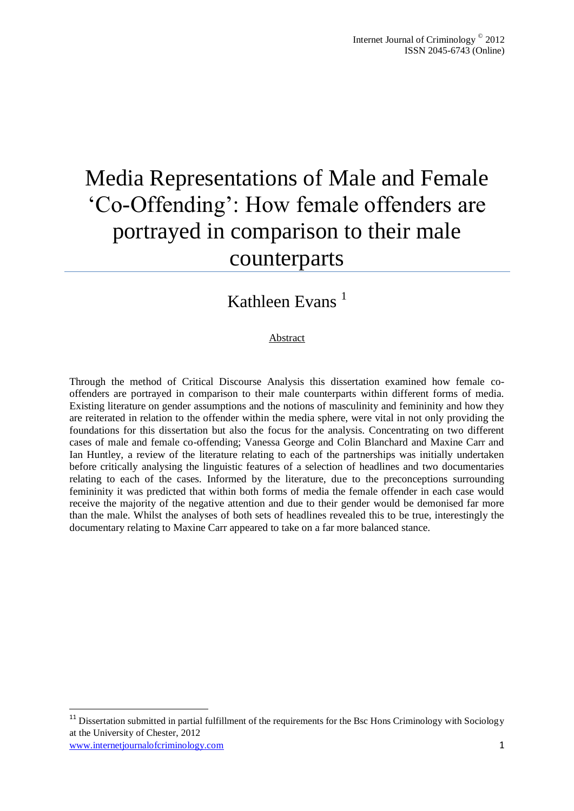# Media Representations of Male and Female 'Co-Offending': How female offenders are portrayed in comparison to their male counterparts

# Kathleen Evans<sup>1</sup>

#### Abstract

Through the method of Critical Discourse Analysis this dissertation examined how female cooffenders are portrayed in comparison to their male counterparts within different forms of media. Existing literature on gender assumptions and the notions of masculinity and femininity and how they are reiterated in relation to the offender within the media sphere, were vital in not only providing the foundations for this dissertation but also the focus for the analysis. Concentrating on two different cases of male and female co-offending; Vanessa George and Colin Blanchard and Maxine Carr and Ian Huntley, a review of the literature relating to each of the partnerships was initially undertaken before critically analysing the linguistic features of a selection of headlines and two documentaries relating to each of the cases. Informed by the literature, due to the preconceptions surrounding femininity it was predicted that within both forms of media the female offender in each case would receive the majority of the negative attention and due to their gender would be demonised far more than the male. Whilst the analyses of both sets of headlines revealed this to be true, interestingly the documentary relating to Maxine Carr appeared to take on a far more balanced stance.

1

www.internetjournalofcriminology.com 1  $11$  Dissertation submitted in partial fulfillment of the requirements for the Bsc Hons Criminology with Sociology at the University of Chester, 2012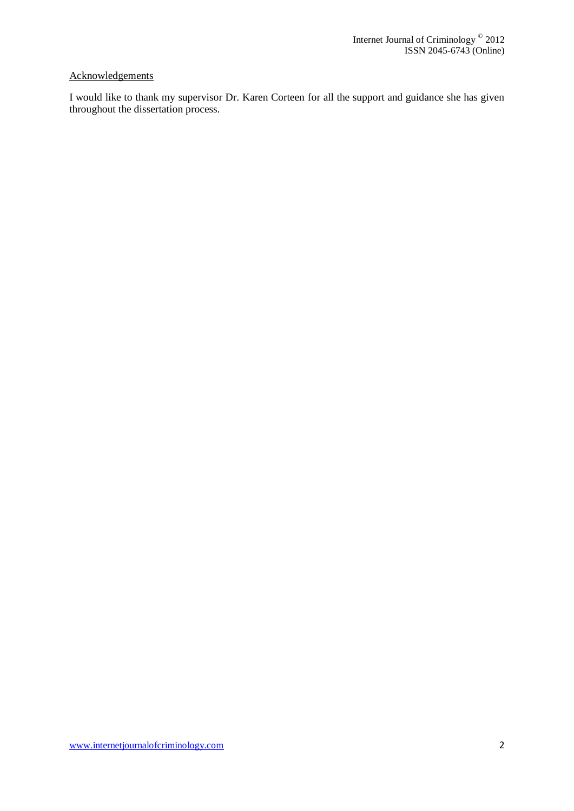### **Acknowledgements**

I would like to thank my supervisor Dr. Karen Corteen for all the support and guidance she has given throughout the dissertation process.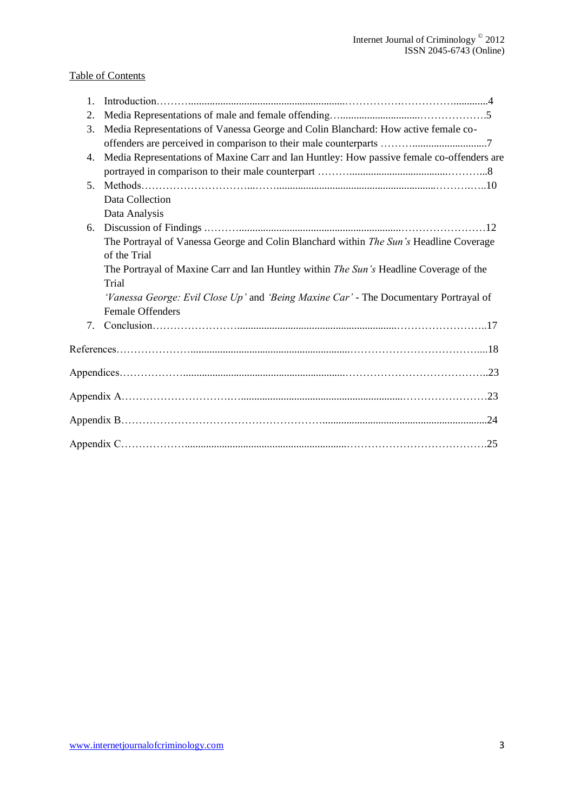## Table of Contents

| $\mathbf{1}$ . |                                                                                           |  |
|----------------|-------------------------------------------------------------------------------------------|--|
| 2.             |                                                                                           |  |
| 3.             | Media Representations of Vanessa George and Colin Blanchard: How active female co-        |  |
|                |                                                                                           |  |
| 4.             | Media Representations of Maxine Carr and Ian Huntley: How passive female co-offenders are |  |
|                |                                                                                           |  |
| 5 <sub>1</sub> |                                                                                           |  |
|                | Data Collection                                                                           |  |
|                | Data Analysis                                                                             |  |
| 6.             |                                                                                           |  |
|                | The Portrayal of Vanessa George and Colin Blanchard within The Sun's Headline Coverage    |  |
|                | of the Trial                                                                              |  |
|                | The Portrayal of Maxine Carr and Ian Huntley within The Sun's Headline Coverage of the    |  |
|                | Trial                                                                                     |  |
|                | 'Vanessa George: Evil Close Up' and 'Being Maxine Car' - The Documentary Portrayal of     |  |
|                | Female Offenders                                                                          |  |
| 7.             |                                                                                           |  |
|                |                                                                                           |  |
|                |                                                                                           |  |
|                |                                                                                           |  |
|                |                                                                                           |  |
|                |                                                                                           |  |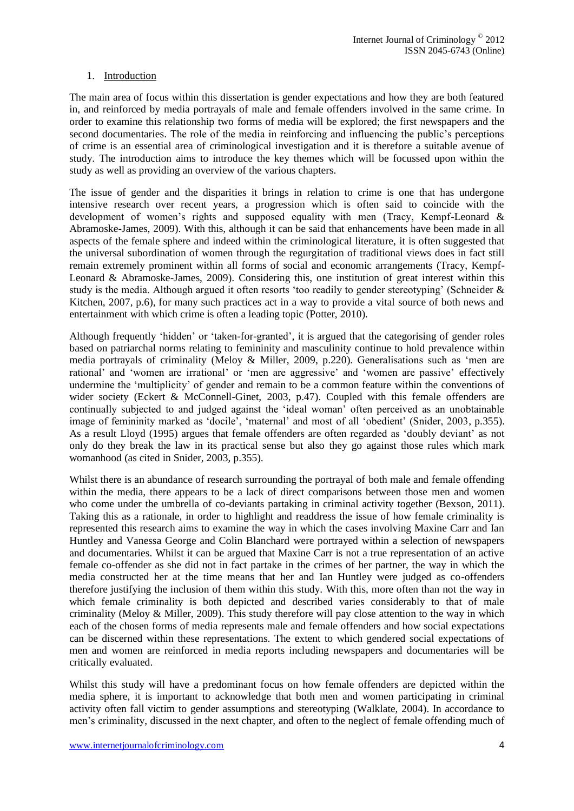#### 1. Introduction

The main area of focus within this dissertation is gender expectations and how they are both featured in, and reinforced by media portrayals of male and female offenders involved in the same crime. In order to examine this relationship two forms of media will be explored; the first newspapers and the second documentaries. The role of the media in reinforcing and influencing the public's perceptions of crime is an essential area of criminological investigation and it is therefore a suitable avenue of study. The introduction aims to introduce the key themes which will be focussed upon within the study as well as providing an overview of the various chapters.

The issue of gender and the disparities it brings in relation to crime is one that has undergone intensive research over recent years, a progression which is often said to coincide with the development of women's rights and supposed equality with men (Tracy, Kempf-Leonard & Abramoske-James, 2009). With this, although it can be said that enhancements have been made in all aspects of the female sphere and indeed within the criminological literature, it is often suggested that the universal subordination of women through the regurgitation of traditional views does in fact still remain extremely prominent within all forms of social and economic arrangements (Tracy, Kempf-Leonard & Abramoske-James, 2009). Considering this, one institution of great interest within this study is the media. Although argued it often resorts 'too readily to gender stereotyping' (Schneider & Kitchen, 2007, p.6), for many such practices act in a way to provide a vital source of both news and entertainment with which crime is often a leading topic (Potter, 2010).

Although frequently 'hidden' or 'taken-for-granted', it is argued that the categorising of gender roles based on patriarchal norms relating to femininity and masculinity continue to hold prevalence within media portrayals of criminality (Meloy & Miller, 2009, p.220). Generalisations such as 'men are rational' and 'women are irrational' or 'men are aggressive' and 'women are passive' effectively undermine the 'multiplicity' of gender and remain to be a common feature within the conventions of wider society (Eckert & McConnell-Ginet, 2003, p.47). Coupled with this female offenders are continually subjected to and judged against the 'ideal woman' often perceived as an unobtainable image of femininity marked as 'docile', 'maternal' and most of all 'obedient' (Snider, 2003, p.355). As a result Lloyd (1995) argues that female offenders are often regarded as 'doubly deviant' as not only do they break the law in its practical sense but also they go against those rules which mark womanhood (as cited in Snider, 2003, p.355).

Whilst there is an abundance of research surrounding the portrayal of both male and female offending within the media, there appears to be a lack of direct comparisons between those men and women who come under the umbrella of co-deviants partaking in criminal activity together (Bexson, 2011). Taking this as a rationale, in order to highlight and readdress the issue of how female criminality is represented this research aims to examine the way in which the cases involving Maxine Carr and Ian Huntley and Vanessa George and Colin Blanchard were portrayed within a selection of newspapers and documentaries. Whilst it can be argued that Maxine Carr is not a true representation of an active female co-offender as she did not in fact partake in the crimes of her partner, the way in which the media constructed her at the time means that her and Ian Huntley were judged as co-offenders therefore justifying the inclusion of them within this study. With this, more often than not the way in which female criminality is both depicted and described varies considerably to that of male criminality (Meloy & Miller, 2009). This study therefore will pay close attention to the way in which each of the chosen forms of media represents male and female offenders and how social expectations can be discerned within these representations. The extent to which gendered social expectations of men and women are reinforced in media reports including newspapers and documentaries will be critically evaluated.

Whilst this study will have a predominant focus on how female offenders are depicted within the media sphere, it is important to acknowledge that both men and women participating in criminal activity often fall victim to gender assumptions and stereotyping (Walklate, 2004). In accordance to men's criminality, discussed in the next chapter, and often to the neglect of female offending much of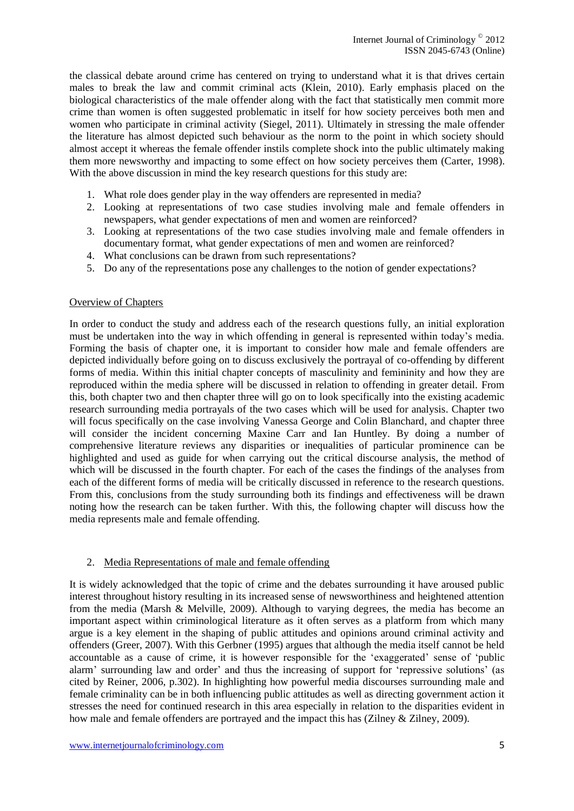the classical debate around crime has centered on trying to understand what it is that drives certain males to break the law and commit criminal acts (Klein, 2010). Early emphasis placed on the biological characteristics of the male offender along with the fact that statistically men commit more crime than women is often suggested problematic in itself for how society perceives both men and women who participate in criminal activity (Siegel, 2011). Ultimately in stressing the male offender the literature has almost depicted such behaviour as the norm to the point in which society should almost accept it whereas the female offender instils complete shock into the public ultimately making them more newsworthy and impacting to some effect on how society perceives them (Carter, 1998). With the above discussion in mind the key research questions for this study are:

- 1. What role does gender play in the way offenders are represented in media?
- 2. Looking at representations of two case studies involving male and female offenders in newspapers, what gender expectations of men and women are reinforced?
- 3. Looking at representations of the two case studies involving male and female offenders in documentary format, what gender expectations of men and women are reinforced?
- 4. What conclusions can be drawn from such representations?
- 5. Do any of the representations pose any challenges to the notion of gender expectations?

#### Overview of Chapters

In order to conduct the study and address each of the research questions fully, an initial exploration must be undertaken into the way in which offending in general is represented within today's media. Forming the basis of chapter one, it is important to consider how male and female offenders are depicted individually before going on to discuss exclusively the portrayal of co-offending by different forms of media. Within this initial chapter concepts of masculinity and femininity and how they are reproduced within the media sphere will be discussed in relation to offending in greater detail. From this, both chapter two and then chapter three will go on to look specifically into the existing academic research surrounding media portrayals of the two cases which will be used for analysis. Chapter two will focus specifically on the case involving Vanessa George and Colin Blanchard, and chapter three will consider the incident concerning Maxine Carr and Ian Huntley. By doing a number of comprehensive literature reviews any disparities or inequalities of particular prominence can be highlighted and used as guide for when carrying out the critical discourse analysis, the method of which will be discussed in the fourth chapter. For each of the cases the findings of the analyses from each of the different forms of media will be critically discussed in reference to the research questions. From this, conclusions from the study surrounding both its findings and effectiveness will be drawn noting how the research can be taken further. With this, the following chapter will discuss how the media represents male and female offending.

#### 2. Media Representations of male and female offending

It is widely acknowledged that the topic of crime and the debates surrounding it have aroused public interest throughout history resulting in its increased sense of newsworthiness and heightened attention from the media (Marsh & Melville, 2009). Although to varying degrees, the media has become an important aspect within criminological literature as it often serves as a platform from which many argue is a key element in the shaping of public attitudes and opinions around criminal activity and offenders (Greer, 2007). With this Gerbner (1995) argues that although the media itself cannot be held accountable as a cause of crime, it is however responsible for the 'exaggerated' sense of 'public alarm' surrounding law and order' and thus the increasing of support for 'repressive solutions' (as cited by Reiner, 2006, p.302). In highlighting how powerful media discourses surrounding male and female criminality can be in both influencing public attitudes as well as directing government action it stresses the need for continued research in this area especially in relation to the disparities evident in how male and female offenders are portrayed and the impact this has (Zilney & Zilney, 2009).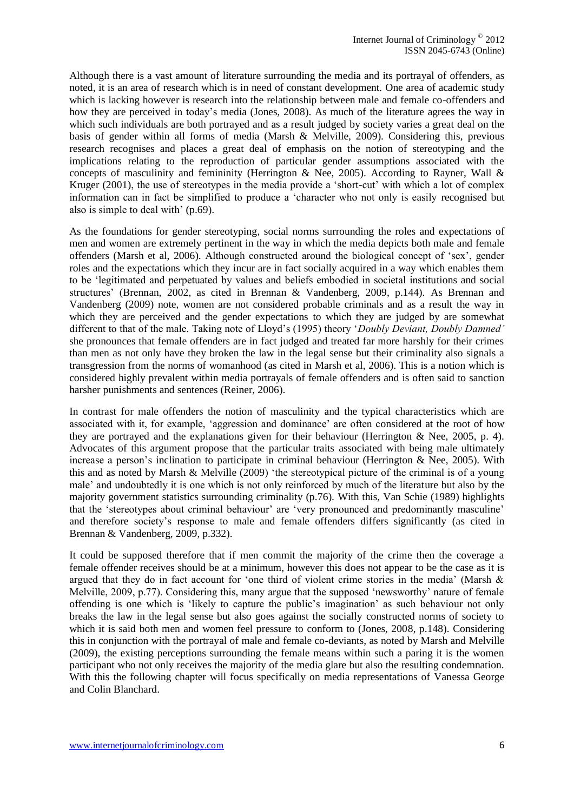Although there is a vast amount of literature surrounding the media and its portrayal of offenders, as noted, it is an area of research which is in need of constant development. One area of academic study which is lacking however is research into the relationship between male and female co-offenders and how they are perceived in today's media (Jones, 2008). As much of the literature agrees the way in which such individuals are both portrayed and as a result judged by society varies a great deal on the basis of gender within all forms of media (Marsh & Melville, 2009). Considering this, previous research recognises and places a great deal of emphasis on the notion of stereotyping and the implications relating to the reproduction of particular gender assumptions associated with the concepts of masculinity and femininity (Herrington & Nee, 2005). According to Rayner, Wall & Kruger (2001), the use of stereotypes in the media provide a 'short-cut' with which a lot of complex information can in fact be simplified to produce a 'character who not only is easily recognised but also is simple to deal with' (p.69).

As the foundations for gender stereotyping, social norms surrounding the roles and expectations of men and women are extremely pertinent in the way in which the media depicts both male and female offenders (Marsh et al, 2006). Although constructed around the biological concept of 'sex', gender roles and the expectations which they incur are in fact socially acquired in a way which enables them to be 'legitimated and perpetuated by values and beliefs embodied in societal institutions and social structures' (Brennan, 2002, as cited in Brennan & Vandenberg, 2009, p.144). As Brennan and Vandenberg (2009) note, women are not considered probable criminals and as a result the way in which they are perceived and the gender expectations to which they are judged by are somewhat different to that of the male. Taking note of Lloyd's (1995) theory '*Doubly Deviant, Doubly Damned'* she pronounces that female offenders are in fact judged and treated far more harshly for their crimes than men as not only have they broken the law in the legal sense but their criminality also signals a transgression from the norms of womanhood (as cited in Marsh et al, 2006). This is a notion which is considered highly prevalent within media portrayals of female offenders and is often said to sanction harsher punishments and sentences (Reiner, 2006).

In contrast for male offenders the notion of masculinity and the typical characteristics which are associated with it, for example, 'aggression and dominance' are often considered at the root of how they are portrayed and the explanations given for their behaviour (Herrington & Nee, 2005, p. 4). Advocates of this argument propose that the particular traits associated with being male ultimately increase a person's inclination to participate in criminal behaviour (Herrington & Nee, 2005). With this and as noted by Marsh & Melville (2009) 'the stereotypical picture of the criminal is of a young male' and undoubtedly it is one which is not only reinforced by much of the literature but also by the majority government statistics surrounding criminality (p.76). With this, Van Schie (1989) highlights that the 'stereotypes about criminal behaviour' are 'very pronounced and predominantly masculine' and therefore society's response to male and female offenders differs significantly (as cited in Brennan & Vandenberg, 2009, p.332).

It could be supposed therefore that if men commit the majority of the crime then the coverage a female offender receives should be at a minimum, however this does not appear to be the case as it is argued that they do in fact account for 'one third of violent crime stories in the media' (Marsh & Melville, 2009, p.77). Considering this, many argue that the supposed 'newsworthy' nature of female offending is one which is 'likely to capture the public's imagination' as such behaviour not only breaks the law in the legal sense but also goes against the socially constructed norms of society to which it is said both men and women feel pressure to conform to (Jones, 2008, p.148). Considering this in conjunction with the portrayal of male and female co-deviants, as noted by Marsh and Melville (2009), the existing perceptions surrounding the female means within such a paring it is the women participant who not only receives the majority of the media glare but also the resulting condemnation. With this the following chapter will focus specifically on media representations of Vanessa George and Colin Blanchard.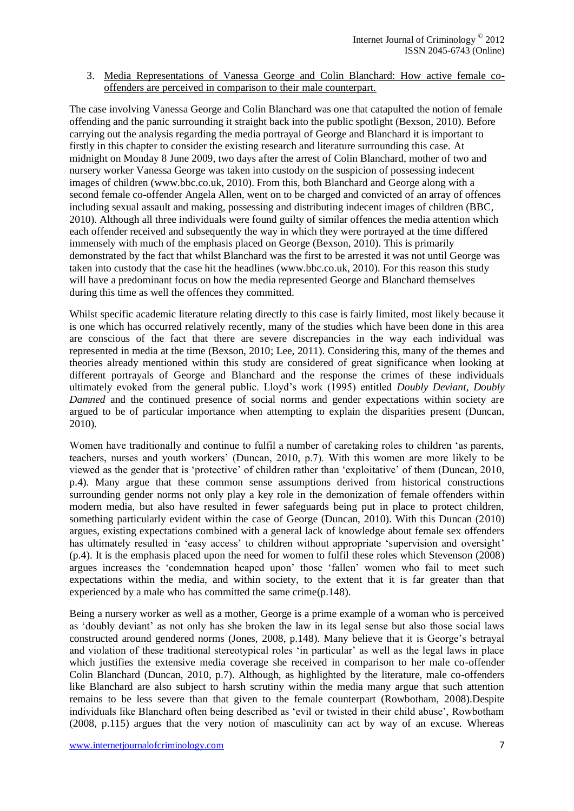3. Media Representations of Vanessa George and Colin Blanchard: How active female cooffenders are perceived in comparison to their male counterpart.

The case involving Vanessa George and Colin Blanchard was one that catapulted the notion of female offending and the panic surrounding it straight back into the public spotlight (Bexson, 2010). Before carrying out the analysis regarding the media portrayal of George and Blanchard it is important to firstly in this chapter to consider the existing research and literature surrounding this case. At midnight on Monday 8 June 2009, two days after the arrest of Colin Blanchard, mother of two and nursery worker Vanessa George was taken into custody on the suspicion of possessing indecent images of children [\(www.bbc.co.uk,](http://www.bbc.co.uk/) 2010). From this, both Blanchard and George along with a second female co-offender Angela Allen, went on to be charged and convicted of an array of offences including sexual assault and making, possessing and distributing indecent images of children (BBC, 2010). Although all three individuals were found guilty of similar offences the media attention which each offender received and subsequently the way in which they were portrayed at the time differed immensely with much of the emphasis placed on George (Bexson, 2010). This is primarily demonstrated by the fact that whilst Blanchard was the first to be arrested it was not until George was taken into custody that the case hit the headlines [\(www.bbc.co.uk,](http://www.bbc.co.uk/) 2010). For this reason this study will have a predominant focus on how the media represented George and Blanchard themselves during this time as well the offences they committed.

Whilst specific academic literature relating directly to this case is fairly limited, most likely because it is one which has occurred relatively recently, many of the studies which have been done in this area are conscious of the fact that there are severe discrepancies in the way each individual was represented in media at the time (Bexson, 2010; Lee, 2011). Considering this, many of the themes and theories already mentioned within this study are considered of great significance when looking at different portrayals of George and Blanchard and the response the crimes of these individuals ultimately evoked from the general public. Lloyd's work (1995) entitled *Doubly Deviant, Doubly Damned* and the continued presence of social norms and gender expectations within society are argued to be of particular importance when attempting to explain the disparities present (Duncan, 2010).

Women have traditionally and continue to fulfil a number of caretaking roles to children 'as parents, teachers, nurses and youth workers' (Duncan, 2010, p.7). With this women are more likely to be viewed as the gender that is 'protective' of children rather than 'exploitative' of them (Duncan, 2010, p.4). Many argue that these common sense assumptions derived from historical constructions surrounding gender norms not only play a key role in the demonization of female offenders within modern media, but also have resulted in fewer safeguards being put in place to protect children, something particularly evident within the case of George (Duncan, 2010). With this Duncan (2010) argues, existing expectations combined with a general lack of knowledge about female sex offenders has ultimately resulted in 'easy access' to children without appropriate 'supervision and oversight' (p.4). It is the emphasis placed upon the need for women to fulfil these roles which Stevenson (2008) argues increases the 'condemnation heaped upon' those 'fallen' women who fail to meet such expectations within the media, and within society, to the extent that it is far greater than that experienced by a male who has committed the same crime(p.148).

Being a nursery worker as well as a mother, George is a prime example of a woman who is perceived as 'doubly deviant' as not only has she broken the law in its legal sense but also those social laws constructed around gendered norms (Jones, 2008, p.148). Many believe that it is George's betrayal and violation of these traditional stereotypical roles 'in particular' as well as the legal laws in place which justifies the extensive media coverage she received in comparison to her male co-offender Colin Blanchard (Duncan, 2010, p.7). Although, as highlighted by the literature, male co-offenders like Blanchard are also subject to harsh scrutiny within the media many argue that such attention remains to be less severe than that given to the female counterpart (Rowbotham, 2008).Despite individuals like Blanchard often being described as 'evil or twisted in their child abuse', Rowbotham (2008, p.115) argues that the very notion of masculinity can act by way of an excuse. Whereas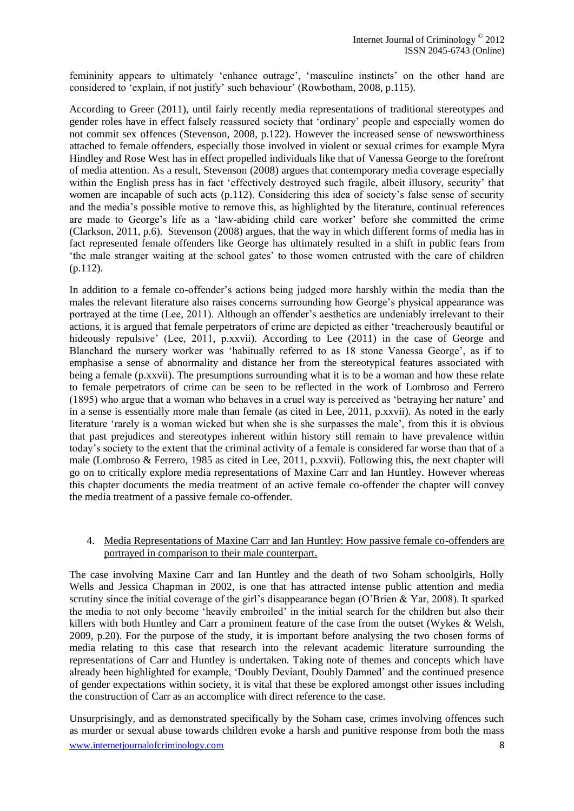femininity appears to ultimately 'enhance outrage', 'masculine instincts' on the other hand are considered to 'explain, if not justify' such behaviour' (Rowbotham, 2008, p.115).

According to Greer (2011), until fairly recently media representations of traditional stereotypes and gender roles have in effect falsely reassured society that 'ordinary' people and especially women do not commit sex offences (Stevenson, 2008, p.122). However the increased sense of newsworthiness attached to female offenders, especially those involved in violent or sexual crimes for example Myra Hindley and Rose West has in effect propelled individuals like that of Vanessa George to the forefront of media attention. As a result, Stevenson (2008) argues that contemporary media coverage especially within the English press has in fact 'effectively destroyed such fragile, albeit illusory, security' that women are incapable of such acts (p.112). Considering this idea of society's false sense of security and the media's possible motive to remove this, as highlighted by the literature, continual references are made to George's life as a 'law-abiding child care worker' before she committed the crime (Clarkson, 2011, p.6). Stevenson (2008) argues, that the way in which different forms of media has in fact represented female offenders like George has ultimately resulted in a shift in public fears from 'the male stranger waiting at the school gates' to those women entrusted with the care of children (p.112).

In addition to a female co-offender's actions being judged more harshly within the media than the males the relevant literature also raises concerns surrounding how George's physical appearance was portrayed at the time (Lee, 2011). Although an offender's aesthetics are undeniably irrelevant to their actions, it is argued that female perpetrators of crime are depicted as either 'treacherously beautiful or hideously repulsive' (Lee, 2011, p.xxvii). According to Lee (2011) in the case of George and Blanchard the nursery worker was 'habitually referred to as 18 stone Vanessa George', as if to emphasise a sense of abnormality and distance her from the stereotypical features associated with being a female (p.xxvii). The presumptions surrounding what it is to be a woman and how these relate to female perpetrators of crime can be seen to be reflected in the work of Lombroso and Ferrero (1895) who argue that a woman who behaves in a cruel way is perceived as 'betraying her nature' and in a sense is essentially more male than female (as cited in Lee, 2011, p.xxvii). As noted in the early literature 'rarely is a woman wicked but when she is she surpasses the male', from this it is obvious that past prejudices and stereotypes inherent within history still remain to have prevalence within today's society to the extent that the criminal activity of a female is considered far worse than that of a male (Lombroso & Ferrero, 1985 as cited in Lee, 2011, p.xxvii). Following this, the next chapter will go on to critically explore media representations of Maxine Carr and Ian Huntley. However whereas this chapter documents the media treatment of an active female co-offender the chapter will convey the media treatment of a passive female co-offender.

#### 4. Media Representations of Maxine Carr and Ian Huntley: How passive female co-offenders are portrayed in comparison to their male counterpart.

The case involving Maxine Carr and Ian Huntley and the death of two Soham schoolgirls, Holly Wells and Jessica Chapman in 2002, is one that has attracted intense public attention and media scrutiny since the initial coverage of the girl's disappearance began (O'Brien & Yar, 2008). It sparked the media to not only become 'heavily embroiled' in the initial search for the children but also their killers with both Huntley and Carr a prominent feature of the case from the outset (Wykes & Welsh, 2009, p.20). For the purpose of the study, it is important before analysing the two chosen forms of media relating to this case that research into the relevant academic literature surrounding the representations of Carr and Huntley is undertaken. Taking note of themes and concepts which have already been highlighted for example, 'Doubly Deviant, Doubly Damned' and the continued presence of gender expectations within society, it is vital that these be explored amongst other issues including the construction of Carr as an accomplice with direct reference to the case.

www.internetjournalofcriminology.com 8 Unsurprisingly, and as demonstrated specifically by the Soham case, crimes involving offences such as murder or sexual abuse towards children evoke a harsh and punitive response from both the mass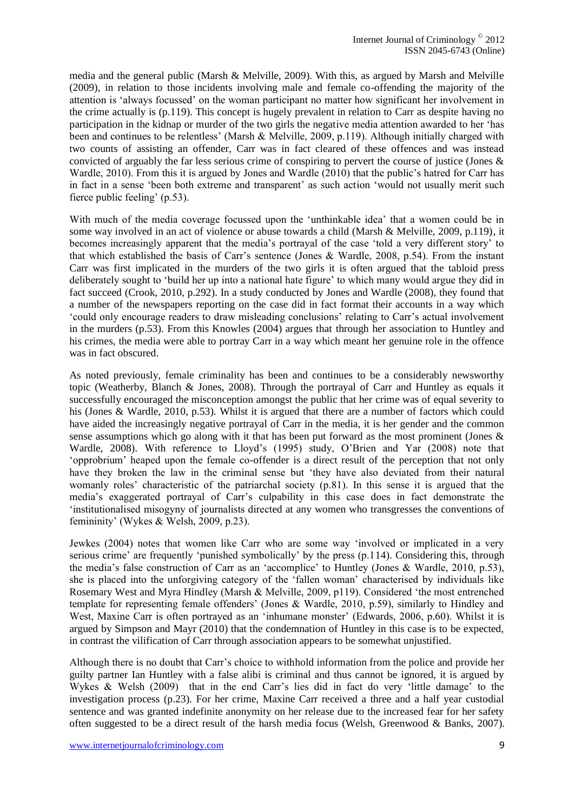media and the general public (Marsh & Melville, 2009). With this, as argued by Marsh and Melville (2009), in relation to those incidents involving male and female co-offending the majority of the attention is 'always focussed' on the woman participant no matter how significant her involvement in the crime actually is (p.119). This concept is hugely prevalent in relation to Carr as despite having no participation in the kidnap or murder of the two girls the negative media attention awarded to her 'has been and continues to be relentless' (Marsh & Melville, 2009, p.119). Although initially charged with two counts of assisting an offender, Carr was in fact cleared of these offences and was instead convicted of arguably the far less serious crime of conspiring to pervert the course of justice (Jones & Wardle, 2010). From this it is argued by Jones and Wardle (2010) that the public's hatred for Carr has in fact in a sense 'been both extreme and transparent' as such action 'would not usually merit such fierce public feeling' (p.53).

With much of the media coverage focussed upon the 'unthinkable idea' that a women could be in some way involved in an act of violence or abuse towards a child (Marsh & Melville, 2009, p.119), it becomes increasingly apparent that the media's portrayal of the case 'told a very different story' to that which established the basis of Carr's sentence (Jones & Wardle, 2008, p.54). From the instant Carr was first implicated in the murders of the two girls it is often argued that the tabloid press deliberately sought to 'build her up into a national hate figure' to which many would argue they did in fact succeed (Crook, 2010, p.292). In a study conducted by Jones and Wardle (2008), they found that a number of the newspapers reporting on the case did in fact format their accounts in a way which 'could only encourage readers to draw misleading conclusions' relating to Carr's actual involvement in the murders (p.53). From this Knowles (2004) argues that through her association to Huntley and his crimes, the media were able to portray Carr in a way which meant her genuine role in the offence was in fact obscured.

As noted previously, female criminality has been and continues to be a considerably newsworthy topic (Weatherby, Blanch & Jones, 2008). Through the portrayal of Carr and Huntley as equals it successfully encouraged the misconception amongst the public that her crime was of equal severity to his (Jones & Wardle, 2010, p.53). Whilst it is argued that there are a number of factors which could have aided the increasingly negative portrayal of Carr in the media, it is her gender and the common sense assumptions which go along with it that has been put forward as the most prominent (Jones & Wardle, 2008). With reference to Lloyd's (1995) study, O'Brien and Yar (2008) note that 'opprobrium' heaped upon the female co-offender is a direct result of the perception that not only have they broken the law in the criminal sense but 'they have also deviated from their natural womanly roles' characteristic of the patriarchal society (p.81). In this sense it is argued that the media's exaggerated portrayal of Carr's culpability in this case does in fact demonstrate the 'institutionalised misogyny of journalists directed at any women who transgresses the conventions of femininity' (Wykes & Welsh, 2009, p.23).

Jewkes (2004) notes that women like Carr who are some way 'involved or implicated in a very serious crime' are frequently 'punished symbolically' by the press (p.114). Considering this, through the media's false construction of Carr as an 'accomplice' to Huntley (Jones & Wardle, 2010, p.53), she is placed into the unforgiving category of the 'fallen woman' characterised by individuals like Rosemary West and Myra Hindley (Marsh & Melville, 2009, p119). Considered 'the most entrenched template for representing female offenders' (Jones & Wardle, 2010, p.59), similarly to Hindley and West, Maxine Carr is often portrayed as an 'inhumane monster' (Edwards, 2006, p.60). Whilst it is argued by Simpson and Mayr (2010) that the condemnation of Huntley in this case is to be expected, in contrast the vilification of Carr through association appears to be somewhat unjustified.

Although there is no doubt that Carr's choice to withhold information from the police and provide her guilty partner Ian Huntley with a false alibi is criminal and thus cannot be ignored, it is argued by Wykes & Welsh (2009) that in the end Carr's lies did in fact do very 'little damage' to the investigation process (p.23). For her crime, Maxine Carr received a three and a half year custodial sentence and was granted indefinite anonymity on her release due to the increased fear for her safety often suggested to be a direct result of the harsh media focus (Welsh, Greenwood & Banks, 2007).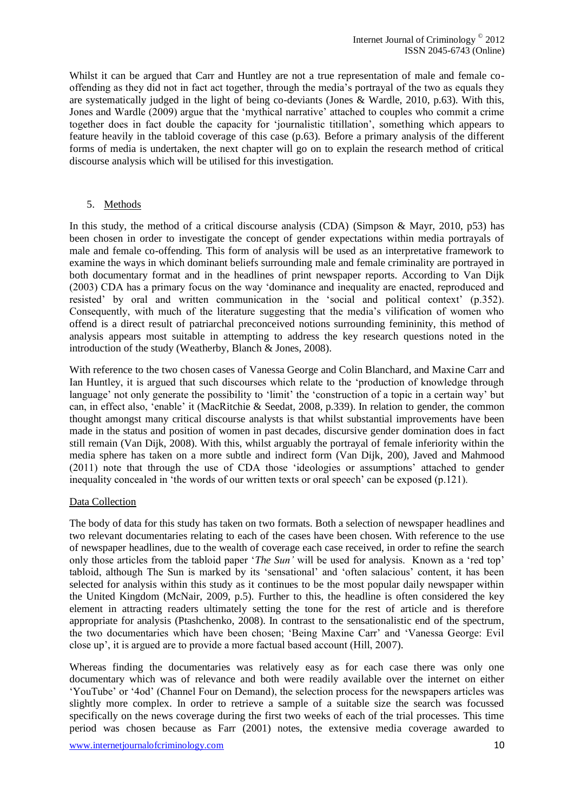Whilst it can be argued that Carr and Huntley are not a true representation of male and female cooffending as they did not in fact act together, through the media's portrayal of the two as equals they are systematically judged in the light of being co-deviants (Jones & Wardle, 2010, p.63). With this, Jones and Wardle (2009) argue that the 'mythical narrative' attached to couples who commit a crime together does in fact double the capacity for 'journalistic titillation', something which appears to feature heavily in the tabloid coverage of this case (p.63). Before a primary analysis of the different forms of media is undertaken, the next chapter will go on to explain the research method of critical discourse analysis which will be utilised for this investigation.

#### 5. Methods

In this study, the method of a critical discourse analysis (CDA) (Simpson & Mayr, 2010, p53) has been chosen in order to investigate the concept of gender expectations within media portrayals of male and female co-offending. This form of analysis will be used as an interpretative framework to examine the ways in which dominant beliefs surrounding male and female criminality are portrayed in both documentary format and in the headlines of print newspaper reports. According to Van Dijk (2003) CDA has a primary focus on the way 'dominance and inequality are enacted, reproduced and resisted' by oral and written communication in the 'social and political context' (p.352). Consequently, with much of the literature suggesting that the media's vilification of women who offend is a direct result of patriarchal preconceived notions surrounding femininity, this method of analysis appears most suitable in attempting to address the key research questions noted in the introduction of the study (Weatherby, Blanch & Jones, 2008).

With reference to the two chosen cases of Vanessa George and Colin Blanchard, and Maxine Carr and Ian Huntley, it is argued that such discourses which relate to the 'production of knowledge through language' not only generate the possibility to 'limit' the 'construction of a topic in a certain way' but can, in effect also, 'enable' it (MacRitchie & Seedat, 2008, p.339). In relation to gender, the common thought amongst many critical discourse analysts is that whilst substantial improvements have been made in the status and position of women in past decades, discursive gender domination does in fact still remain (Van Dijk, 2008). With this, whilst arguably the portrayal of female inferiority within the media sphere has taken on a more subtle and indirect form (Van Dijk, 200), Javed and Mahmood (2011) note that through the use of CDA those 'ideologies or assumptions' attached to gender inequality concealed in 'the words of our written texts or oral speech' can be exposed (p.121).

#### Data Collection

The body of data for this study has taken on two formats. Both a selection of newspaper headlines and two relevant documentaries relating to each of the cases have been chosen. With reference to the use of newspaper headlines, due to the wealth of coverage each case received, in order to refine the search only those articles from the tabloid paper '*The Sun'* will be used for analysis. Known as a 'red top' tabloid, although The Sun is marked by its 'sensational' and 'often salacious' content, it has been selected for analysis within this study as it continues to be the most popular daily newspaper within the United Kingdom (McNair, 2009, p.5). Further to this, the headline is often considered the key element in attracting readers ultimately setting the tone for the rest of article and is therefore appropriate for analysis (Ptashchenko, 2008). In contrast to the sensationalistic end of the spectrum, the two documentaries which have been chosen; 'Being Maxine Carr' and 'Vanessa George: Evil close up', it is argued are to provide a more factual based account (Hill, 2007).

Whereas finding the documentaries was relatively easy as for each case there was only one documentary which was of relevance and both were readily available over the internet on either 'YouTube' or '4od' (Channel Four on Demand), the selection process for the newspapers articles was slightly more complex. In order to retrieve a sample of a suitable size the search was focussed specifically on the news coverage during the first two weeks of each of the trial processes. This time period was chosen because as Farr (2001) notes, the extensive media coverage awarded to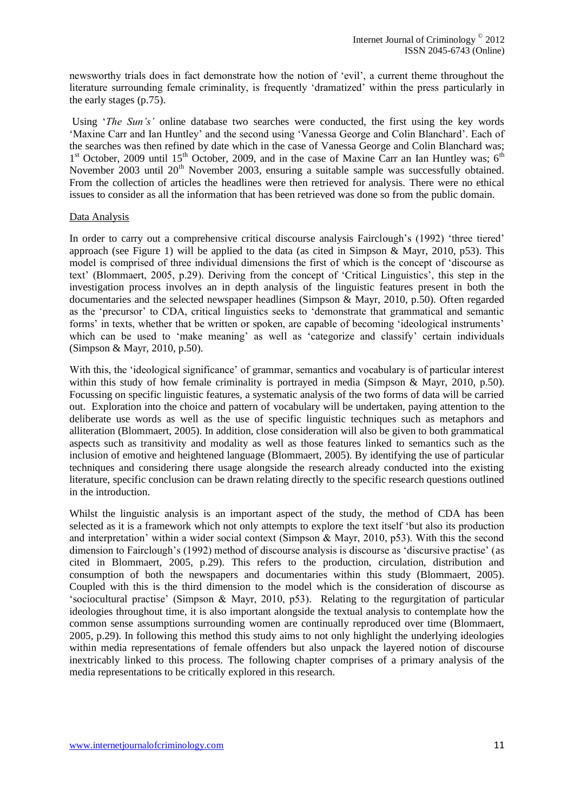newsworthy trials does in fact demonstrate how the notion of 'evil', a current theme throughout the literature surrounding female criminality, is frequently 'dramatized' within the press particularly in the early stages (p.75).

Using '*The Sun's'* online database two searches were conducted, the first using the key words 'Maxine Carr and Ian Huntley' and the second using 'Vanessa George and Colin Blanchard'. Each of the searches was then refined by date which in the case of Vanessa George and Colin Blanchard was; 1<sup>st</sup> October, 2009 until 15<sup>th</sup> October, 2009, and in the case of Maxine Carr an Ian Huntley was; 6<sup>th</sup> November 2003 until 20<sup>th</sup> November 2003, ensuring a suitable sample was successfully obtained. From the collection of articles the headlines were then retrieved for analysis. There were no ethical issues to consider as all the information that has been retrieved was done so from the public domain.

#### Data Analysis

In order to carry out a comprehensive critical discourse analysis Fairclough's (1992) 'three tiered' approach (see Figure 1) will be applied to the data (as cited in Simpson & Mayr, 2010, p53). This model is comprised of three individual dimensions the first of which is the concept of 'discourse as text' (Blommaert, 2005, p.29). Deriving from the concept of 'Critical Linguistics', this step in the investigation process involves an in depth analysis of the linguistic features present in both the documentaries and the selected newspaper headlines (Simpson & Mayr, 2010, p.50). Often regarded as the 'precursor' to CDA, critical linguistics seeks to 'demonstrate that grammatical and semantic forms' in texts, whether that be written or spoken, are capable of becoming 'ideological instruments' which can be used to 'make meaning' as well as 'categorize and classify' certain individuals (Simpson & Mayr, 2010, p.50).

With this, the 'ideological significance' of grammar, semantics and vocabulary is of particular interest within this study of how female criminality is portrayed in media (Simpson & Mayr, 2010, p.50). Focussing on specific linguistic features, a systematic analysis of the two forms of data will be carried out. Exploration into the choice and pattern of vocabulary will be undertaken, paying attention to the deliberate use words as well as the use of specific linguistic techniques such as metaphors and alliteration (Blommaert, 2005). In addition, close consideration will also be given to both grammatical aspects such as transitivity and modality as well as those features linked to semantics such as the inclusion of emotive and heightened language (Blommaert, 2005). By identifying the use of particular techniques and considering there usage alongside the research already conducted into the existing literature, specific conclusion can be drawn relating directly to the specific research questions outlined in the introduction.

Whilst the linguistic analysis is an important aspect of the study, the method of CDA has been selected as it is a framework which not only attempts to explore the text itself 'but also its production and interpretation' within a wider social context (Simpson & Mayr, 2010, p53). With this the second dimension to Fairclough's (1992) method of discourse analysis is discourse as 'discursive practise' (as cited in Blommaert, 2005, p.29). This refers to the production, circulation, distribution and consumption of both the newspapers and documentaries within this study (Blommaert, 2005). Coupled with this is the third dimension to the model which is the consideration of discourse as 'sociocultural practise' (Simpson & Mayr, 2010, p53). Relating to the regurgitation of particular ideologies throughout time, it is also important alongside the textual analysis to contemplate how the common sense assumptions surrounding women are continually reproduced over time (Blommaert, 2005, p.29). In following this method this study aims to not only highlight the underlying ideologies within media representations of female offenders but also unpack the layered notion of discourse inextricably linked to this process. The following chapter comprises of a primary analysis of the media representations to be critically explored in this research.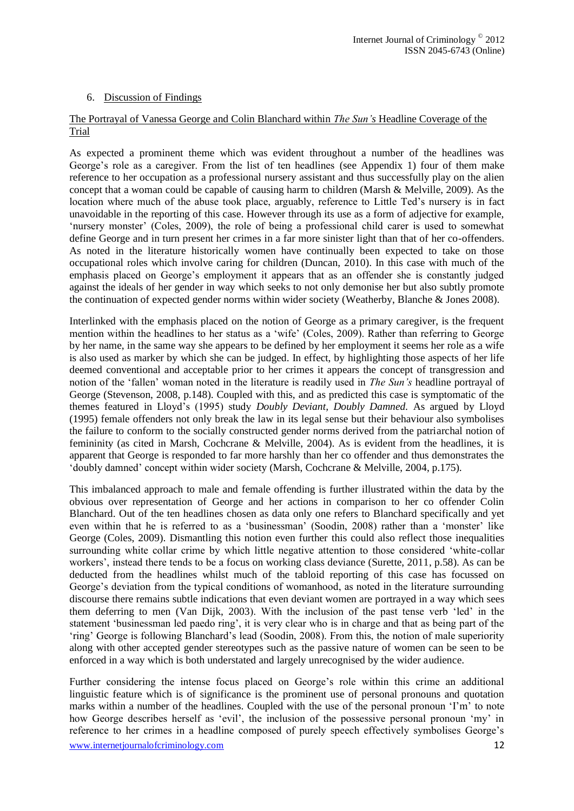#### 6. Discussion of Findings

#### The Portrayal of Vanessa George and Colin Blanchard within *The Sun's* Headline Coverage of the **Trial**

As expected a prominent theme which was evident throughout a number of the headlines was George's role as a caregiver. From the list of ten headlines (see Appendix 1) four of them make reference to her occupation as a professional nursery assistant and thus successfully play on the alien concept that a woman could be capable of causing harm to children (Marsh & Melville, 2009). As the location where much of the abuse took place, arguably, reference to Little Ted's nursery is in fact unavoidable in the reporting of this case. However through its use as a form of adjective for example, 'nursery monster' (Coles, 2009), the role of being a professional child carer is used to somewhat define George and in turn present her crimes in a far more sinister light than that of her co-offenders. As noted in the literature historically women have continually been expected to take on those occupational roles which involve caring for children (Duncan, 2010). In this case with much of the emphasis placed on George's employment it appears that as an offender she is constantly judged against the ideals of her gender in way which seeks to not only demonise her but also subtly promote the continuation of expected gender norms within wider society (Weatherby, Blanche & Jones 2008).

Interlinked with the emphasis placed on the notion of George as a primary caregiver, is the frequent mention within the headlines to her status as a 'wife' (Coles, 2009). Rather than referring to George by her name, in the same way she appears to be defined by her employment it seems her role as a wife is also used as marker by which she can be judged. In effect, by highlighting those aspects of her life deemed conventional and acceptable prior to her crimes it appears the concept of transgression and notion of the 'fallen' woman noted in the literature is readily used in *The Sun's* headline portrayal of George (Stevenson, 2008, p.148). Coupled with this, and as predicted this case is symptomatic of the themes featured in Lloyd's (1995) study *Doubly Deviant, Doubly Damned.* As argued by Lloyd (1995) female offenders not only break the law in its legal sense but their behaviour also symbolises the failure to conform to the socially constructed gender norms derived from the patriarchal notion of femininity (as cited in Marsh, Cochcrane & Melville, 2004). As is evident from the headlines, it is apparent that George is responded to far more harshly than her co offender and thus demonstrates the 'doubly damned' concept within wider society (Marsh, Cochcrane & Melville, 2004, p.175).

This imbalanced approach to male and female offending is further illustrated within the data by the obvious over representation of George and her actions in comparison to her co offender Colin Blanchard. Out of the ten headlines chosen as data only one refers to Blanchard specifically and yet even within that he is referred to as a 'businessman' (Soodin, 2008) rather than a 'monster' like George (Coles, 2009). Dismantling this notion even further this could also reflect those inequalities surrounding white collar crime by which little negative attention to those considered 'white-collar workers', instead there tends to be a focus on working class deviance (Surette, 2011, p.58). As can be deducted from the headlines whilst much of the tabloid reporting of this case has focussed on George's deviation from the typical conditions of womanhood, as noted in the literature surrounding discourse there remains subtle indications that even deviant women are portrayed in a way which sees them deferring to men (Van Dijk, 2003). With the inclusion of the past tense verb 'led' in the statement 'businessman led paedo ring', it is very clear who is in charge and that as being part of the 'ring' George is following Blanchard's lead (Soodin, 2008). From this, the notion of male superiority along with other accepted gender stereotypes such as the passive nature of women can be seen to be enforced in a way which is both understated and largely unrecognised by the wider audience.

www.internetjournalofcriminology.com 12 Further considering the intense focus placed on George's role within this crime an additional linguistic feature which is of significance is the prominent use of personal pronouns and quotation marks within a number of the headlines. Coupled with the use of the personal pronoun 'I'm' to note how George describes herself as 'evil', the inclusion of the possessive personal pronoun 'my' in reference to her crimes in a headline composed of purely speech effectively symbolises George's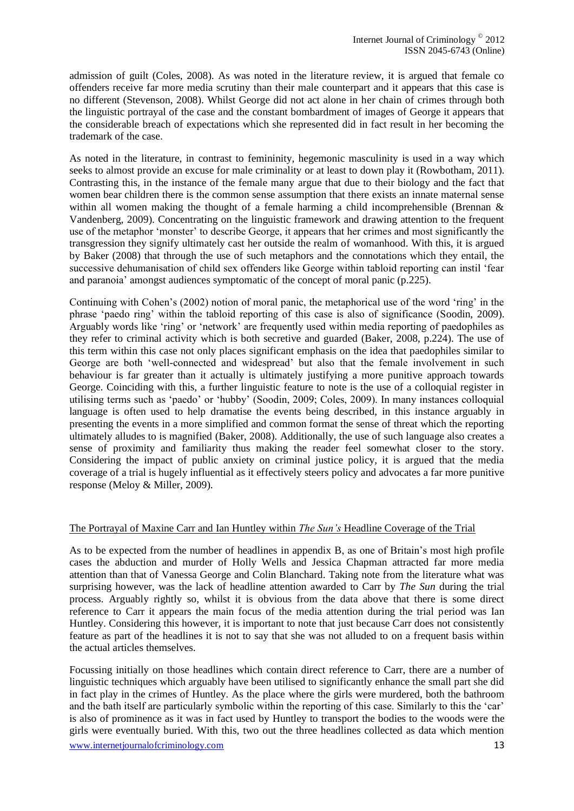admission of guilt (Coles, 2008). As was noted in the literature review, it is argued that female co offenders receive far more media scrutiny than their male counterpart and it appears that this case is no different (Stevenson, 2008). Whilst George did not act alone in her chain of crimes through both the linguistic portrayal of the case and the constant bombardment of images of George it appears that the considerable breach of expectations which she represented did in fact result in her becoming the trademark of the case.

As noted in the literature, in contrast to femininity, hegemonic masculinity is used in a way which seeks to almost provide an excuse for male criminality or at least to down play it (Rowbotham, 2011). Contrasting this, in the instance of the female many argue that due to their biology and the fact that women bear children there is the common sense assumption that there exists an innate maternal sense within all women making the thought of a female harming a child incomprehensible (Brennan & Vandenberg, 2009). Concentrating on the linguistic framework and drawing attention to the frequent use of the metaphor 'monster' to describe George, it appears that her crimes and most significantly the transgression they signify ultimately cast her outside the realm of womanhood. With this, it is argued by Baker (2008) that through the use of such metaphors and the connotations which they entail, the successive dehumanisation of child sex offenders like George within tabloid reporting can instil 'fear and paranoia' amongst audiences symptomatic of the concept of moral panic (p.225).

Continuing with Cohen's (2002) notion of moral panic, the metaphorical use of the word 'ring' in the phrase 'paedo ring' within the tabloid reporting of this case is also of significance (Soodin, 2009). Arguably words like 'ring' or 'network' are frequently used within media reporting of paedophiles as they refer to criminal activity which is both secretive and guarded (Baker, 2008, p.224). The use of this term within this case not only places significant emphasis on the idea that paedophiles similar to George are both 'well-connected and widespread' but also that the female involvement in such behaviour is far greater than it actually is ultimately justifying a more punitive approach towards George. Coinciding with this, a further linguistic feature to note is the use of a colloquial register in utilising terms such as 'paedo' or 'hubby' (Soodin, 2009; Coles, 2009). In many instances colloquial language is often used to help dramatise the events being described, in this instance arguably in presenting the events in a more simplified and common format the sense of threat which the reporting ultimately alludes to is magnified (Baker, 2008). Additionally, the use of such language also creates a sense of proximity and familiarity thus making the reader feel somewhat closer to the story. Considering the impact of public anxiety on criminal justice policy, it is argued that the media coverage of a trial is hugely influential as it effectively steers policy and advocates a far more punitive response (Meloy & Miller, 2009).

#### The Portrayal of Maxine Carr and Ian Huntley within *The Sun's* Headline Coverage of the Trial

As to be expected from the number of headlines in appendix B, as one of Britain's most high profile cases the abduction and murder of Holly Wells and Jessica Chapman attracted far more media attention than that of Vanessa George and Colin Blanchard. Taking note from the literature what was surprising however, was the lack of headline attention awarded to Carr by *The Sun* during the trial process. Arguably rightly so, whilst it is obvious from the data above that there is some direct reference to Carr it appears the main focus of the media attention during the trial period was Ian Huntley. Considering this however, it is important to note that just because Carr does not consistently feature as part of the headlines it is not to say that she was not alluded to on a frequent basis within the actual articles themselves.

www.internetjournalofcriminology.com 13 Focussing initially on those headlines which contain direct reference to Carr, there are a number of linguistic techniques which arguably have been utilised to significantly enhance the small part she did in fact play in the crimes of Huntley. As the place where the girls were murdered, both the bathroom and the bath itself are particularly symbolic within the reporting of this case. Similarly to this the 'car' is also of prominence as it was in fact used by Huntley to transport the bodies to the woods were the girls were eventually buried. With this, two out the three headlines collected as data which mention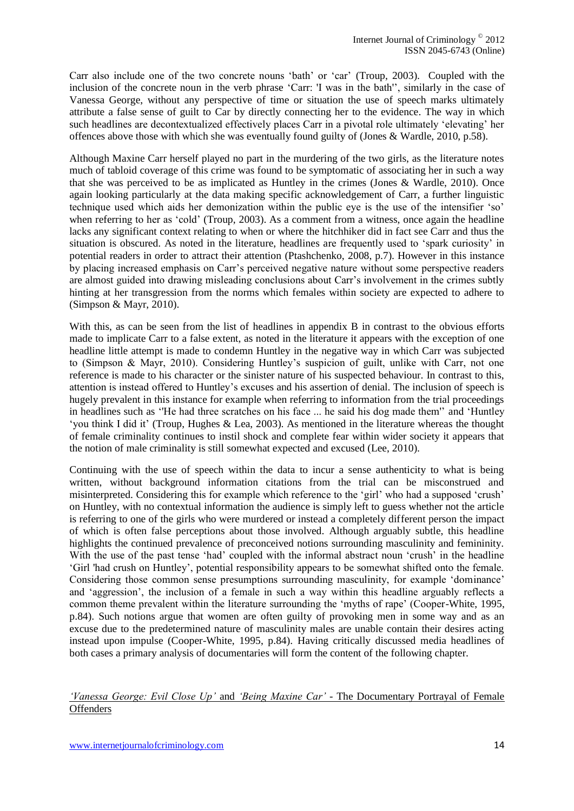Carr also include one of the two concrete nouns 'bath' or 'car' (Troup, 2003). Coupled with the inclusion of the concrete noun in the verb phrase 'Carr: 'I was in the bath'', similarly in the case of Vanessa George, without any perspective of time or situation the use of speech marks ultimately attribute a false sense of guilt to Car by directly connecting her to the evidence. The way in which such headlines are decontextualized effectively places Carr in a pivotal role ultimately 'elevating' her offences above those with which she was eventually found guilty of (Jones & Wardle, 2010, p.58).

Although Maxine Carr herself played no part in the murdering of the two girls, as the literature notes much of tabloid coverage of this crime was found to be symptomatic of associating her in such a way that she was perceived to be as implicated as Huntley in the crimes (Jones & Wardle, 2010). Once again looking particularly at the data making specific acknowledgement of Carr, a further linguistic technique used which aids her demonization within the public eye is the use of the intensifier 'so' when referring to her as 'cold' (Troup, 2003). As a comment from a witness, once again the headline lacks any significant context relating to when or where the hitchhiker did in fact see Carr and thus the situation is obscured. As noted in the literature, headlines are frequently used to 'spark curiosity' in potential readers in order to attract their attention (Ptashchenko, 2008, p.7). However in this instance by placing increased emphasis on Carr's perceived negative nature without some perspective readers are almost guided into drawing misleading conclusions about Carr's involvement in the crimes subtly hinting at her transgression from the norms which females within society are expected to adhere to (Simpson & Mayr, 2010).

With this, as can be seen from the list of headlines in appendix B in contrast to the obvious efforts made to implicate Carr to a false extent, as noted in the literature it appears with the exception of one headline little attempt is made to condemn Huntley in the negative way in which Carr was subjected to (Simpson & Mayr, 2010). Considering Huntley's suspicion of guilt, unlike with Carr, not one reference is made to his character or the sinister nature of his suspected behaviour. In contrast to this, attention is instead offered to Huntley's excuses and his assertion of denial. The inclusion of speech is hugely prevalent in this instance for example when referring to information from the trial proceedings in headlines such as ''He had three scratches on his face ... he said his dog made them'' and 'Huntley 'you think I did it' (Troup, Hughes & Lea, 2003). As mentioned in the literature whereas the thought of female criminality continues to instil shock and complete fear within wider society it appears that the notion of male criminality is still somewhat expected and excused (Lee, 2010).

Continuing with the use of speech within the data to incur a sense authenticity to what is being written, without background information citations from the trial can be misconstrued and misinterpreted. Considering this for example which reference to the 'girl' who had a supposed 'crush' on Huntley, with no contextual information the audience is simply left to guess whether not the article is referring to one of the girls who were murdered or instead a completely different person the impact of which is often false perceptions about those involved. Although arguably subtle, this headline highlights the continued prevalence of preconceived notions surrounding masculinity and femininity. With the use of the past tense 'had' coupled with the informal abstract noun 'crush' in the headline 'Girl 'had crush on Huntley', potential responsibility appears to be somewhat shifted onto the female. Considering those common sense presumptions surrounding masculinity, for example 'dominance' and 'aggression', the inclusion of a female in such a way within this headline arguably reflects a common theme prevalent within the literature surrounding the 'myths of rape' (Cooper-White, 1995, p.84). Such notions argue that women are often guilty of provoking men in some way and as an excuse due to the predetermined nature of masculinity males are unable contain their desires acting instead upon impulse (Cooper-White, 1995, p.84). Having critically discussed media headlines of both cases a primary analysis of documentaries will form the content of the following chapter.

#### *'Vanessa George: Evil Close Up'* and *'Being Maxine Car' -* The Documentary Portrayal of Female **Offenders**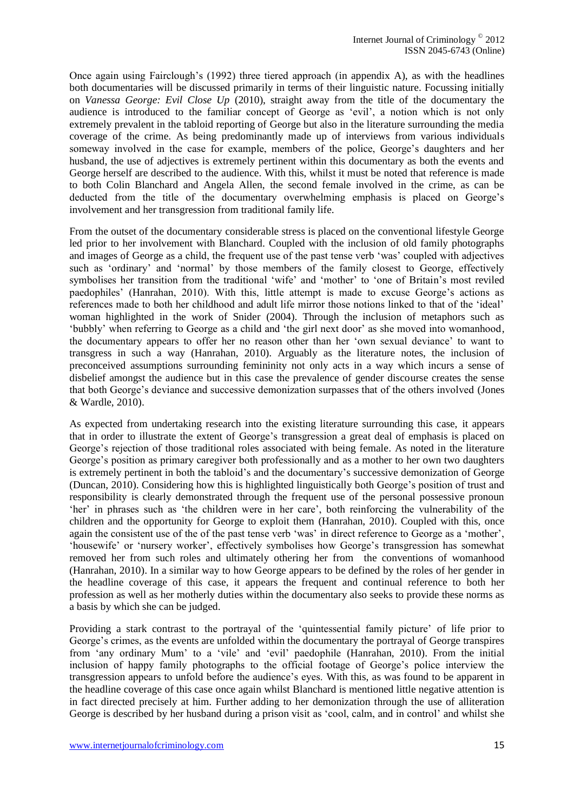Once again using Fairclough's (1992) three tiered approach (in appendix A), as with the headlines both documentaries will be discussed primarily in terms of their linguistic nature. Focussing initially on *Vanessa George: Evil Close Up* (2010), straight away from the title of the documentary the audience is introduced to the familiar concept of George as 'evil', a notion which is not only extremely prevalent in the tabloid reporting of George but also in the literature surrounding the media coverage of the crime. As being predominantly made up of interviews from various individuals someway involved in the case for example, members of the police, George's daughters and her husband, the use of adjectives is extremely pertinent within this documentary as both the events and George herself are described to the audience. With this, whilst it must be noted that reference is made to both Colin Blanchard and Angela Allen, the second female involved in the crime, as can be deducted from the title of the documentary overwhelming emphasis is placed on George's involvement and her transgression from traditional family life.

From the outset of the documentary considerable stress is placed on the conventional lifestyle George led prior to her involvement with Blanchard. Coupled with the inclusion of old family photographs and images of George as a child, the frequent use of the past tense verb 'was' coupled with adjectives such as 'ordinary' and 'normal' by those members of the family closest to George, effectively symbolises her transition from the traditional 'wife' and 'mother' to 'one of Britain's most reviled paedophiles' (Hanrahan, 2010). With this, little attempt is made to excuse George's actions as references made to both her childhood and adult life mirror those notions linked to that of the 'ideal' woman highlighted in the work of Snider (2004). Through the inclusion of metaphors such as 'bubbly' when referring to George as a child and 'the girl next door' as she moved into womanhood, the documentary appears to offer her no reason other than her 'own sexual deviance' to want to transgress in such a way (Hanrahan, 2010). Arguably as the literature notes, the inclusion of preconceived assumptions surrounding femininity not only acts in a way which incurs a sense of disbelief amongst the audience but in this case the prevalence of gender discourse creates the sense that both George's deviance and successive demonization surpasses that of the others involved (Jones & Wardle, 2010).

As expected from undertaking research into the existing literature surrounding this case, it appears that in order to illustrate the extent of George's transgression a great deal of emphasis is placed on George's rejection of those traditional roles associated with being female. As noted in the literature George's position as primary caregiver both professionally and as a mother to her own two daughters is extremely pertinent in both the tabloid's and the documentary's successive demonization of George (Duncan, 2010). Considering how this is highlighted linguistically both George's position of trust and responsibility is clearly demonstrated through the frequent use of the personal possessive pronoun 'her' in phrases such as 'the children were in her care', both reinforcing the vulnerability of the children and the opportunity for George to exploit them (Hanrahan, 2010). Coupled with this, once again the consistent use of the of the past tense verb 'was' in direct reference to George as a 'mother', 'housewife' or 'nursery worker', effectively symbolises how George's transgression has somewhat removed her from such roles and ultimately othering her from the conventions of womanhood (Hanrahan, 2010). In a similar way to how George appears to be defined by the roles of her gender in the headline coverage of this case, it appears the frequent and continual reference to both her profession as well as her motherly duties within the documentary also seeks to provide these norms as a basis by which she can be judged.

Providing a stark contrast to the portrayal of the 'quintessential family picture' of life prior to George's crimes, as the events are unfolded within the documentary the portrayal of George transpires from 'any ordinary Mum' to a 'vile' and 'evil' paedophile (Hanrahan, 2010). From the initial inclusion of happy family photographs to the official footage of George's police interview the transgression appears to unfold before the audience's eyes. With this, as was found to be apparent in the headline coverage of this case once again whilst Blanchard is mentioned little negative attention is in fact directed precisely at him. Further adding to her demonization through the use of alliteration George is described by her husband during a prison visit as 'cool, calm, and in control' and whilst she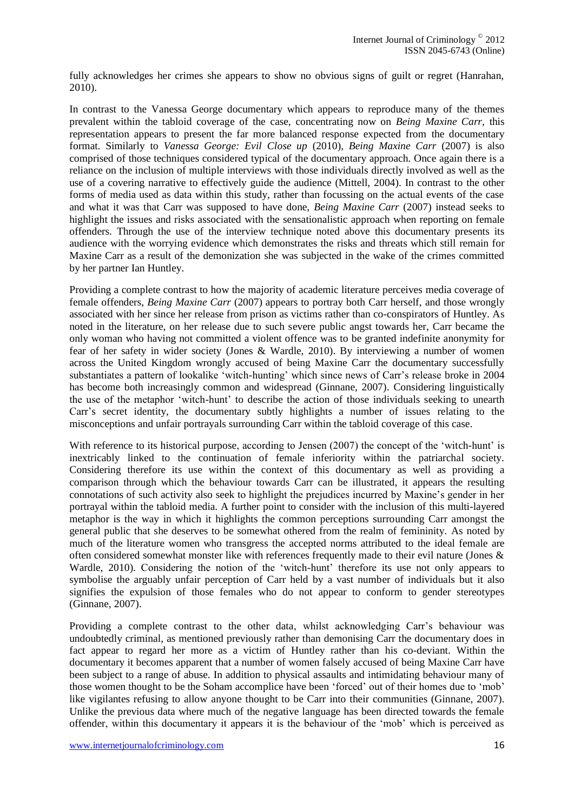fully acknowledges her crimes she appears to show no obvious signs of guilt or regret (Hanrahan, 2010).

In contrast to the Vanessa George documentary which appears to reproduce many of the themes prevalent within the tabloid coverage of the case, concentrating now on *Being Maxine Carr,* this representation appears to present the far more balanced response expected from the documentary format. Similarly to *Vanessa George: Evil Close up* (2010)*, Being Maxine Carr* (2007) is also comprised of those techniques considered typical of the documentary approach. Once again there is a reliance on the inclusion of multiple interviews with those individuals directly involved as well as the use of a covering narrative to effectively guide the audience (Mittell, 2004). In contrast to the other forms of media used as data within this study, rather than focussing on the actual events of the case and what it was that Carr was supposed to have done, *Being Maxine Carr* (2007) instead seeks to highlight the issues and risks associated with the sensationalistic approach when reporting on female offenders. Through the use of the interview technique noted above this documentary presents its audience with the worrying evidence which demonstrates the risks and threats which still remain for Maxine Carr as a result of the demonization she was subjected in the wake of the crimes committed by her partner Ian Huntley.

Providing a complete contrast to how the majority of academic literature perceives media coverage of female offenders, *Being Maxine Carr* (2007) appears to portray both Carr herself, and those wrongly associated with her since her release from prison as victims rather than co-conspirators of Huntley. As noted in the literature, on her release due to such severe public angst towards her, Carr became the only woman who having not committed a violent offence was to be granted indefinite anonymity for fear of her safety in wider society (Jones & Wardle, 2010). By interviewing a number of women across the United Kingdom wrongly accused of being Maxine Carr the documentary successfully substantiates a pattern of lookalike 'witch-hunting' which since news of Carr's release broke in 2004 has become both increasingly common and widespread (Ginnane, 2007). Considering linguistically the use of the metaphor 'witch-hunt' to describe the action of those individuals seeking to unearth Carr's secret identity, the documentary subtly highlights a number of issues relating to the misconceptions and unfair portrayals surrounding Carr within the tabloid coverage of this case.

With reference to its historical purpose, according to Jensen (2007) the concept of the 'witch-hunt' is inextricably linked to the continuation of female inferiority within the patriarchal society. Considering therefore its use within the context of this documentary as well as providing a comparison through which the behaviour towards Carr can be illustrated, it appears the resulting connotations of such activity also seek to highlight the prejudices incurred by Maxine's gender in her portrayal within the tabloid media. A further point to consider with the inclusion of this multi-layered metaphor is the way in which it highlights the common perceptions surrounding Carr amongst the general public that she deserves to be somewhat othered from the realm of femininity. As noted by much of the literature women who transgress the accepted norms attributed to the ideal female are often considered somewhat monster like with references frequently made to their evil nature (Jones & Wardle, 2010). Considering the notion of the 'witch-hunt' therefore its use not only appears to symbolise the arguably unfair perception of Carr held by a vast number of individuals but it also signifies the expulsion of those females who do not appear to conform to gender stereotypes (Ginnane, 2007).

Providing a complete contrast to the other data, whilst acknowledging Carr's behaviour was undoubtedly criminal, as mentioned previously rather than demonising Carr the documentary does in fact appear to regard her more as a victim of Huntley rather than his co-deviant. Within the documentary it becomes apparent that a number of women falsely accused of being Maxine Carr have been subject to a range of abuse. In addition to physical assaults and intimidating behaviour many of those women thought to be the Soham accomplice have been 'forced' out of their homes due to 'mob' like vigilantes refusing to allow anyone thought to be Carr into their communities (Ginnane, 2007). Unlike the previous data where much of the negative language has been directed towards the female offender, within this documentary it appears it is the behaviour of the 'mob' which is perceived as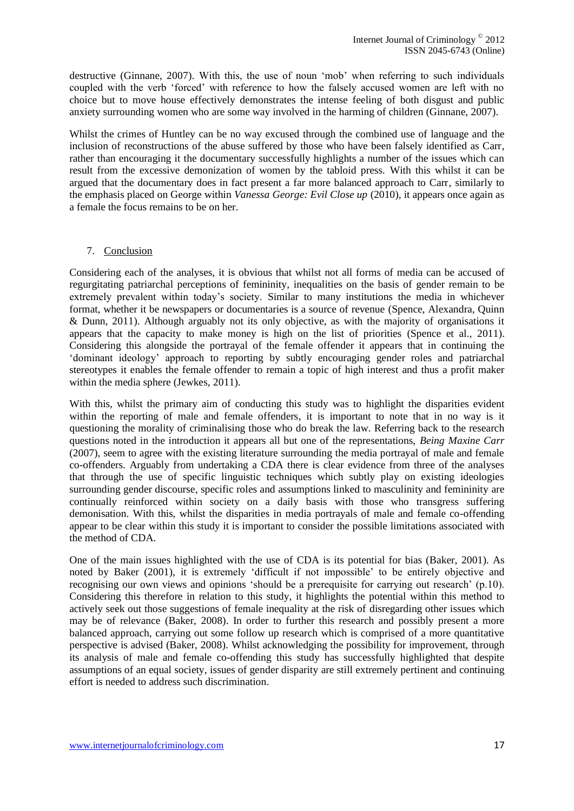destructive (Ginnane, 2007). With this, the use of noun 'mob' when referring to such individuals coupled with the verb 'forced' with reference to how the falsely accused women are left with no choice but to move house effectively demonstrates the intense feeling of both disgust and public anxiety surrounding women who are some way involved in the harming of children (Ginnane, 2007).

Whilst the crimes of Huntley can be no way excused through the combined use of language and the inclusion of reconstructions of the abuse suffered by those who have been falsely identified as Carr, rather than encouraging it the documentary successfully highlights a number of the issues which can result from the excessive demonization of women by the tabloid press. With this whilst it can be argued that the documentary does in fact present a far more balanced approach to Carr, similarly to the emphasis placed on George within *Vanessa George: Evil Close up* (2010), it appears once again as a female the focus remains to be on her.

#### 7. Conclusion

Considering each of the analyses, it is obvious that whilst not all forms of media can be accused of regurgitating patriarchal perceptions of femininity, inequalities on the basis of gender remain to be extremely prevalent within today's society. Similar to many institutions the media in whichever format, whether it be newspapers or documentaries is a source of revenue (Spence, Alexandra, Quinn & Dunn, 2011). Although arguably not its only objective, as with the majority of organisations it appears that the capacity to make money is high on the list of priorities (Spence et al., 2011). Considering this alongside the portrayal of the female offender it appears that in continuing the 'dominant ideology' approach to reporting by subtly encouraging gender roles and patriarchal stereotypes it enables the female offender to remain a topic of high interest and thus a profit maker within the media sphere (Jewkes, 2011).

With this, whilst the primary aim of conducting this study was to highlight the disparities evident within the reporting of male and female offenders, it is important to note that in no way is it questioning the morality of criminalising those who do break the law. Referring back to the research questions noted in the introduction it appears all but one of the representations, *Being Maxine Carr*  (2007), seem to agree with the existing literature surrounding the media portrayal of male and female co-offenders. Arguably from undertaking a CDA there is clear evidence from three of the analyses that through the use of specific linguistic techniques which subtly play on existing ideologies surrounding gender discourse, specific roles and assumptions linked to masculinity and femininity are continually reinforced within society on a daily basis with those who transgress suffering demonisation. With this, whilst the disparities in media portrayals of male and female co-offending appear to be clear within this study it is important to consider the possible limitations associated with the method of CDA.

One of the main issues highlighted with the use of CDA is its potential for bias (Baker, 2001). As noted by Baker (2001), it is extremely 'difficult if not impossible' to be entirely objective and recognising our own views and opinions 'should be a prerequisite for carrying out research' (p.10). Considering this therefore in relation to this study, it highlights the potential within this method to actively seek out those suggestions of female inequality at the risk of disregarding other issues which may be of relevance (Baker, 2008). In order to further this research and possibly present a more balanced approach, carrying out some follow up research which is comprised of a more quantitative perspective is advised (Baker, 2008). Whilst acknowledging the possibility for improvement, through its analysis of male and female co-offending this study has successfully highlighted that despite assumptions of an equal society, issues of gender disparity are still extremely pertinent and continuing effort is needed to address such discrimination.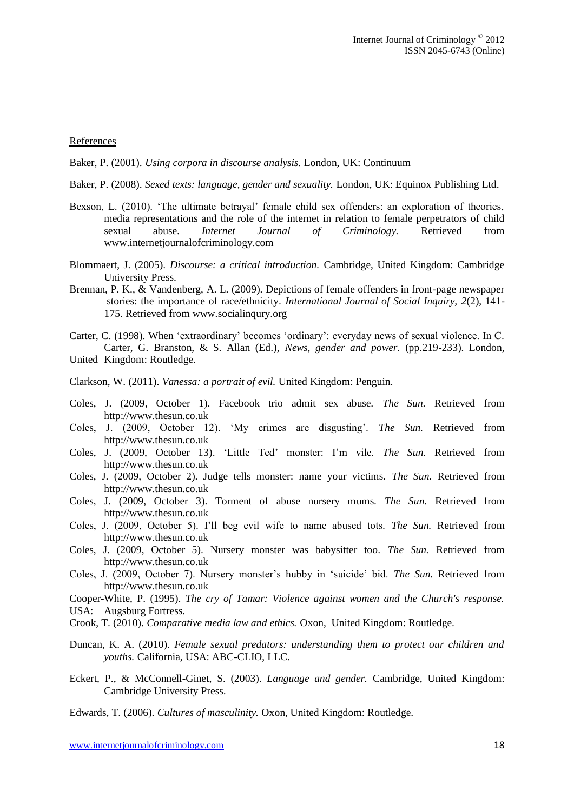#### References

Baker, P. (2001). *Using corpora in discourse analysis.* London, UK: Continuum

- Baker, P. (2008). *Sexed texts: language, gender and sexuality.* London, UK: Equinox Publishing Ltd.
- Bexson, L. (2010). 'The ultimate betrayal' female child sex offenders: an exploration of theories, media representations and the role of the internet in relation to female perpetrators of child sexual abuse. *Internet Journal of Criminology.* Retrieved from www.internetjournalofcriminology.com
- Blommaert, J. (2005). *Discourse: a critical introduction.* Cambridge, United Kingdom: Cambridge University Press.
- Brennan, P. K., & Vandenberg, A. L. (2009). Depictions of female offenders in front-page newspaper stories: the importance of race/ethnicity. *International Journal of Social Inquiry, 2*(2), 141- 175. Retrieved from www.socialinqury.org
- Carter, C. (1998). When 'extraordinary' becomes 'ordinary': everyday news of sexual violence. In C. Carter, G. Branston, & S. Allan (Ed.), *News, gender and power.* (pp.219-233). London, United Kingdom: Routledge.
- Clarkson, W. (2011). *Vanessa: a portrait of evil.* United Kingdom: Penguin.
- Coles, J. (2009, October 1). Facebook trio admit sex abuse. *The Sun.* Retrieved from http://www.thesun.co.uk
- Coles, J. (2009, October 12). 'My crimes are disgusting'. *The Sun.* Retrieved from http://www.thesun.co.uk
- Coles, J. (2009, October 13). 'Little Ted' monster: I'm vile. *The Sun.* Retrieved from http://www.thesun.co.uk
- Coles, J. (2009, October 2). Judge tells monster: name your victims. *The Sun.* Retrieved from http://www.thesun.co.uk
- Coles, J. (2009, October 3). Torment of abuse nursery mums. *The Sun.* Retrieved from http://www.thesun.co.uk
- Coles, J. (2009, October 5). I'll beg evil wife to name abused tots. *The Sun.* Retrieved from http://www.thesun.co.uk
- Coles, J. (2009, October 5). Nursery monster was babysitter too. *The Sun.* Retrieved from http://www.thesun.co.uk
- Coles, J. (2009, October 7). Nursery monster's hubby in 'suicide' bid. *The Sun.* Retrieved from http://www.thesun.co.uk
- Cooper-White, P. (1995). *The cry of Tamar: Violence against women and the Church's response.*

USA: Augsburg Fortress.

- Crook, T. (2010). *Comparative media law and ethics.* Oxon, United Kingdom: Routledge.
- Duncan, K. A. (2010). *Female sexual predators: understanding them to protect our children and youths.* California, USA: ABC-CLIO, LLC.
- Eckert, P., & McConnell-Ginet, S. (2003). *Language and gender.* Cambridge, United Kingdom: Cambridge University Press.
- Edwards, T. (2006). *Cultures of masculinity.* Oxon, United Kingdom: Routledge.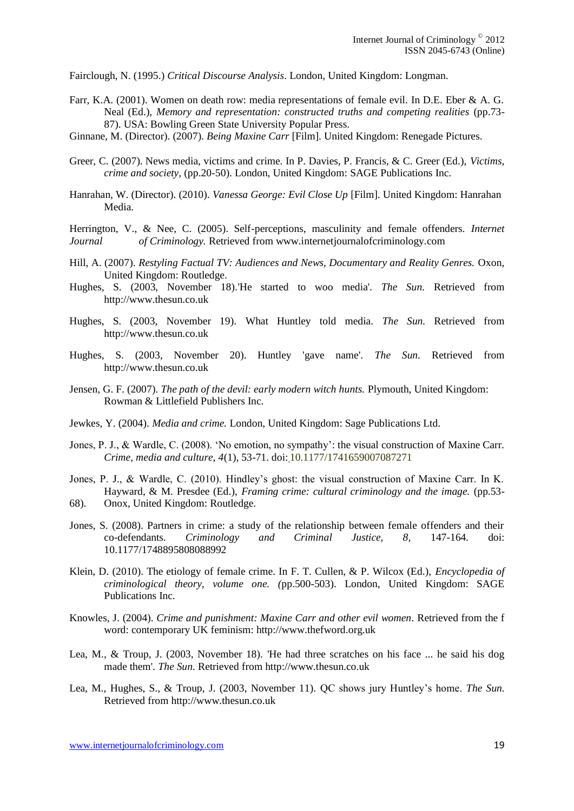Fairclough, N. (1995.) *Critical Discourse Analysis*. London, United Kingdom: Longman.

- Farr, K.A. (2001). Women on death row: media representations of female evil. In D.E. Eber & A. G. Neal (Ed.), *Memory and representation: constructed truths and competing realities* (pp.73- 87). USA: Bowling Green State University Popular Press.
- Ginnane, M. (Director). (2007). *Being Maxine Carr* [Film]. United Kingdom: Renegade Pictures.
- Greer, C. (2007). News media, victims and crime. In P. Davies, P. Francis, & C. Greer (Ed.), *Victims, crime and society,* (pp.20-50). London, United Kingdom: SAGE Publications Inc.
- Hanrahan, W. (Director). (2010). *Vanessa George: Evil Close Up* [Film]. United Kingdom: Hanrahan Media.

Herrington, V., & Nee, C. (2005). Self-perceptions, masculinity and female offenders. *Internet Journal of Criminology.* Retrieved from www.internetjournalofcriminology.com

- Hill, A. (2007). *Restyling Factual TV: Audiences and News, Documentary and Reality Genres.* Oxon, United Kingdom: Routledge.
- Hughes, S. (2003, November 18).'He started to woo media'. *The Sun.* Retrieved from http://www.thesun.co.uk
- Hughes, S. (2003, November 19). What Huntley told media. *The Sun.* Retrieved from http://www.thesun.co.uk
- Hughes, S. (2003, November 20). Huntley 'gave name'. *The Sun.* Retrieved from http://www.thesun.co.uk
- Jensen, G. F. (2007). *The path of the devil: early modern witch hunts.* Plymouth, United Kingdom: Rowman & Littlefield Publishers Inc.
- Jewkes, Y. (2004). *Media and crime.* London, United Kingdom: Sage Publications Ltd.
- Jones, P. J., & Wardle, C. (2008). 'No emotion, no sympathy': the visual construction of Maxine Carr. *Crime, media and culture, 4*(1), 53-71. doi: 10.1177/1741659007087271
- Jones, P. J., & Wardle, C. (2010). Hindley's ghost: the visual construction of Maxine Carr. In K. Hayward, & M. Presdee (Ed.), *Framing crime: cultural criminology and the image.* (pp.53- 68). Onox, United Kingdom: Routledge.
- Jones, S. (2008). Partners in crime: a study of the relationship between female offenders and their co-defendants. *Criminology and Criminal Justice, 8,* 147-164*.* doi: 10.1177/1748895808088992
- Klein, D. (2010). The etiology of female crime. In F. T. Cullen, & P. Wilcox (Ed.), *Encyclopedia of criminological theory, volume one. (*pp.500-503). London, United Kingdom: SAGE Publications Inc.
- Knowles, J. (2004). *Crime and punishment: Maxine Carr and other evil women*. Retrieved from the f word: contemporary UK feminism: http://www.thefword.org.uk
- Lea, M., & Troup, J. (2003, November 18). 'He had three scratches on his face ... he said his dog made them'. *The Sun.* Retrieved from http://www.thesun.co.uk
- Lea, M., Hughes, S., & Troup, J. (2003, November 11). QC shows jury Huntley's home. *The Sun.*  Retrieved from http://www.thesun.co.uk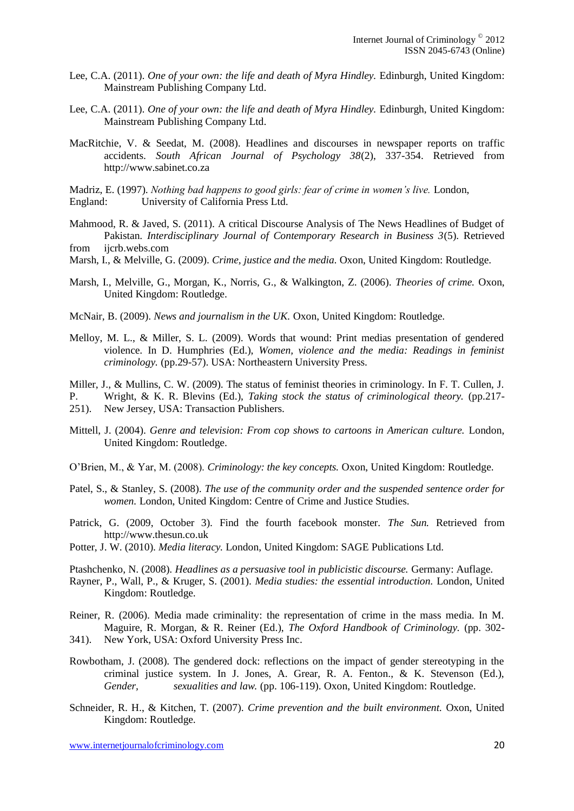- Lee, C.A. (2011). *One of your own: the life and death of Myra Hindley.* Edinburgh, United Kingdom: Mainstream Publishing Company Ltd.
- Lee, C.A. (2011). *One of your own: the life and death of Myra Hindley.* Edinburgh, United Kingdom: Mainstream Publishing Company Ltd.
- MacRitchie, V. & Seedat, M. (2008). Headlines and discourses in newspaper reports on traffic accidents. *South African Journal of Psychology 38*(2), 337-354. Retrieved from http://www.sabinet.co.za

Madriz, E. (1997). *Nothing bad happens to good girls: fear of crime in women's live.* London, England: University of California Press Ltd.

- Mahmood, R. & Javed, S. (2011). A critical Discourse Analysis of The News Headlines of Budget of Pakistan. *Interdisciplinary Journal of Contemporary Research in Business 3*(5). Retrieved from ijcrb.webs.com
- Marsh, I., & Melville, G. (2009). *Crime, justice and the media.* Oxon, United Kingdom: Routledge.
- Marsh, I., Melville, G., Morgan, K., Norris, G., & Walkington, Z. (2006). *Theories of crime.* Oxon, United Kingdom: Routledge.
- McNair, B. (2009). *News and journalism in the UK.* Oxon, United Kingdom: Routledge.
- Melloy, M. L., & Miller, S. L. (2009). Words that wound: Print medias presentation of gendered violence. In D. Humphries (Ed.), *Women, violence and the media: Readings in feminist criminology.* (pp.29-57). USA: Northeastern University Press.

Miller, J., & Mullins, C. W. (2009). The status of feminist theories in criminology. In F. T. Cullen, J.

- P. Wright, & K. R. Blevins (Ed.), *Taking stock the status of criminological theory.* (pp.217- 251). New Jersey, USA: Transaction Publishers.
- Mittell, J. (2004). *Genre and television: From cop shows to cartoons in American culture.* London, United Kingdom: Routledge.
- O'Brien, M., & Yar, M. (2008). *Criminology: the key concepts.* Oxon, United Kingdom: Routledge.
- Patel, S., & Stanley, S. (2008). *The use of the community order and the suspended sentence order for women.* London, United Kingdom: Centre of Crime and Justice Studies.
- Patrick, G. (2009, October 3). Find the fourth facebook monster. *The Sun.* Retrieved from http://www.thesun.co.uk
- Potter, J. W. (2010). *Media literacy.* London, United Kingdom: SAGE Publications Ltd.

Ptashchenko, N. (2008). *Headlines as a persuasive tool in publicistic discourse.* Germany: Auflage.

- Rayner, P., Wall, P., & Kruger, S. (2001). *Media studies: the essential introduction.* London, United Kingdom: Routledge.
- Reiner, R. (2006). Media made criminality: the representation of crime in the mass media. In M. Maguire, R. Morgan, & R. Reiner (Ed.), *The Oxford Handbook of Criminology.* (pp. 302- 341). New York, USA: Oxford University Press Inc.
- 
- Rowbotham, J. (2008). The gendered dock: reflections on the impact of gender stereotyping in the criminal justice system. In J. Jones, A. Grear, R. A. Fenton., & K. Stevenson (Ed.), *Gender, sexualities and law.* (pp. 106-119). Oxon, United Kingdom: Routledge.
- Schneider, R. H., & Kitchen, T. (2007). *Crime prevention and the built environment.* Oxon, United Kingdom: Routledge.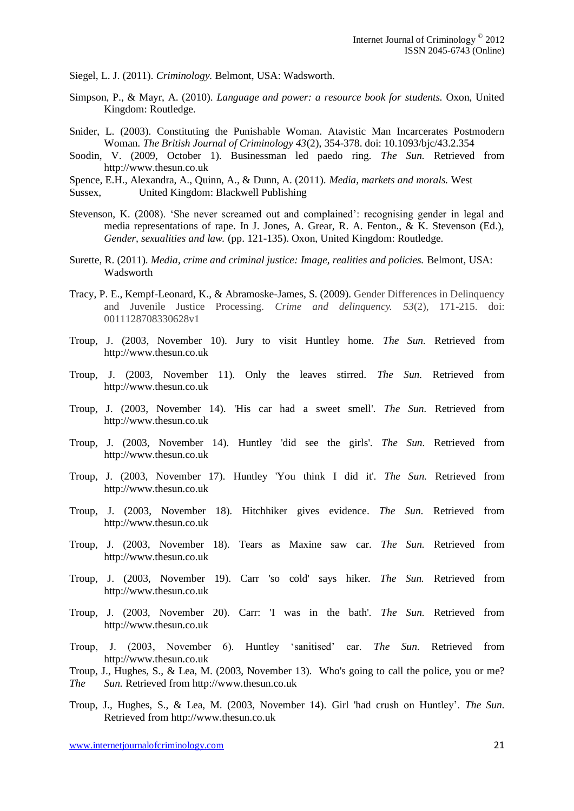Siegel, L. J. (2011). *Criminology.* Belmont, USA: Wadsworth.

- Simpson, P., & Mayr, A. (2010). *Language and power: a resource book for students.* Oxon, United Kingdom: Routledge.
- Snider, L. (2003). Constituting the Punishable Woman. Atavistic Man Incarcerates Postmodern Woman. *The British Journal of Criminology 43*(2), 354-378. doi: 10.1093/bjc/43.2.354
- Soodin, V. (2009, October 1). Businessman led paedo ring. *The Sun.* Retrieved from http://www.thesun.co.uk

Spence, E.H., Alexandra, A., Quinn, A., & Dunn, A. (2011). *Media, markets and morals.* West Sussex, United Kingdom: Blackwell Publishing

- Stevenson, K. (2008). 'She never screamed out and complained': recognising gender in legal and media representations of rape. In J. Jones, A. Grear, R. A. Fenton., & K. Stevenson (Ed.), *Gender, sexualities and law.* (pp. 121-135). Oxon, United Kingdom: Routledge.
- Surette, R. (2011). *Media, crime and criminal justice: Image, realities and policies.* Belmont, USA: Wadsworth
- Tracy, P. E., Kempf-Leonard, K., & Abramoske-James, S. (2009). Gender Differences in Delinquency and Juvenile Justice Processing. *Crime and delinquency. 53*(2), 171-215. doi: [0011128708330628v1](http://cad.sagepub.com/content/early/2009/02/04/0011128708330628)
- Troup, J. (2003, November 10). Jury to visit Huntley home. *The Sun.* Retrieved from http://www.thesun.co.uk
- Troup, J. (2003, November 11). Only the leaves stirred. *The Sun.* Retrieved from http://www.thesun.co.uk
- Troup, J. (2003, November 14). 'His car had a sweet smell'. *The Sun.* Retrieved from http://www.thesun.co.uk
- Troup, J. (2003, November 14). Huntley 'did see the girls'. *The Sun.* Retrieved from http://www.thesun.co.uk
- Troup, J. (2003, November 17). Huntley 'You think I did it'. *The Sun.* Retrieved from http://www.thesun.co.uk
- Troup, J. (2003, November 18). [Hitchhiker gives evidence.](http://www.thesun.co.uk/sol/homepage/news/154993/Hitchhiker-gives-evidence.html) *The Sun.* Retrieved from http://www.thesun.co.uk
- Troup, J. (2003, November 18). Tears as Maxine saw car. *The Sun.* Retrieved from http://www.thesun.co.uk
- Troup, J. (2003, November 19). Carr 'so cold' says hiker. *The Sun.* Retrieved from http://www.thesun.co.uk
- Troup, J. (2003, November 20). Carr: 'I was in the bath'. *The Sun.* Retrieved from http://www.thesun.co.uk
- Troup, J. (2003, November 6). Huntley 'sanitised' car. *The Sun.* Retrieved from http://www.thesun.co.uk
- Troup, J., Hughes, S., & Lea, M. (2003, November 13). Who's going to call the police, you or me? *The Sun.* Retrieved from http://www.thesun.co.uk
- Troup, J., Hughes, S., & Lea, M. (2003, November 14). Girl 'had crush on Huntley'. *The Sun.*  Retrieved from http://www.thesun.co.uk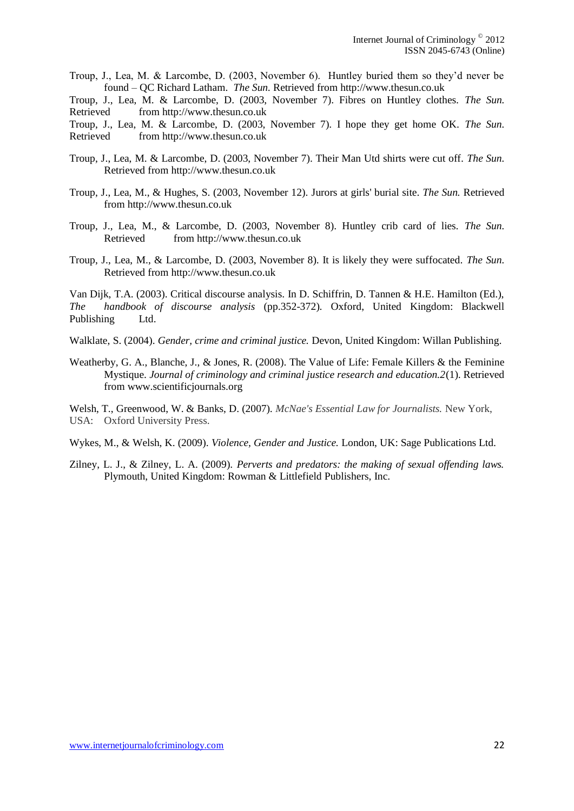Troup, J., Lea, M. & Larcombe, D. (2003, November 6). Huntley buried them so they'd never be found – QC Richard Latham. *The Sun.* Retrieved from http://www.thesun.co.uk

Troup, J., Lea, M. & Larcombe, D. (2003, November 7). Fibres on Huntley clothes. *The Sun.*  Retrieved from http://www.thesun.co.uk

Troup, J., Lea, M. & Larcombe, D. (2003, November 7). I hope they get home OK. *The Sun.*  Retrieved from http://www.thesun.co.uk

- Troup, J., Lea, M. & Larcombe, D. (2003, November 7). Their Man Utd shirts were cut off. *The Sun.*  Retrieved from http://www.thesun.co.uk
- Troup, J., Lea, M., & Hughes, S. (2003, November 12). [Jurors at girls' burial site.](http://www.thesun.co.uk/sol/homepage/news/155050/Jurors-at-girls-burial-site.html) *The Sun.* Retrieved from http://www.thesun.co.uk
- Troup, J., Lea, M., & Larcombe, D. (2003, November 8). Huntley crib card of lies. *The Sun.*  Retrieved from http://www.thesun.co.uk
- Troup, J., Lea, M., & Larcombe, D. (2003, November 8). It is likely they were suffocated. *The Sun.*  Retrieved from http://www.thesun.co.uk

Van Dijk, T.A. (2003). Critical discourse analysis. In D. Schiffrin, D. Tannen & H.E. Hamilton (Ed.), *The handbook of discourse analysis* (pp.352-372)*.* Oxford, United Kingdom: Blackwell Publishing Ltd.

Walklate, S. (2004). *Gender, crime and criminal justice.* Devon, United Kingdom: Willan Publishing.

Weatherby, G. A., Blanche, J., & Jones, R. (2008). The Value of Life: Female Killers & the Feminine Mystique. *Journal of criminology and criminal justice research and education.2*(1). Retrieved from www.scientificjournals.org

Welsh, T., Greenwood, W. & Banks, D. (2007). *McNae's Essential Law for Journalists.* New York, USA: Oxford University Press.

Wykes, M., & Welsh, K. (2009). *Violence, Gender and Justice.* London, UK: Sage Publications Ltd.

Zilney, L. J., & Zilney, L. A. (2009). *Perverts and predators: the making of sexual offending laws.*  Plymouth, United Kingdom: Rowman & Littlefield Publishers, Inc.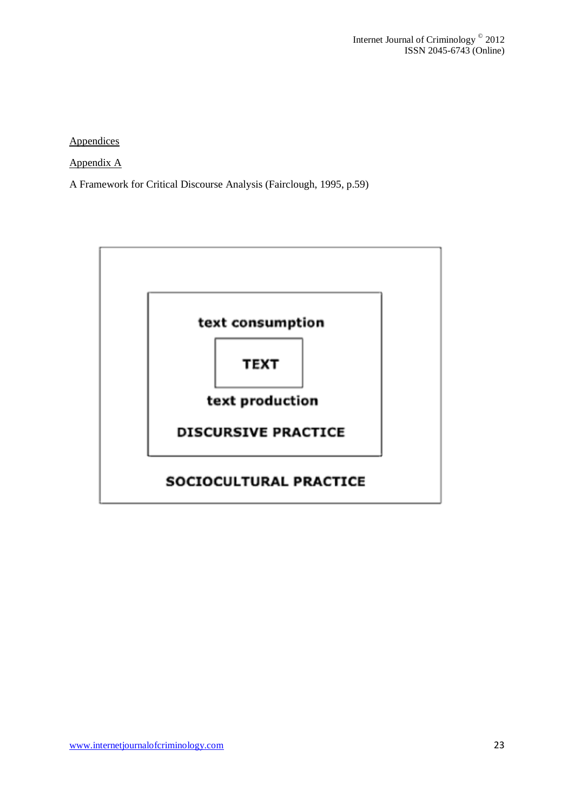**Appendices** 

Appendix A

A Framework for Critical Discourse Analysis (Fairclough, 1995, p.59)

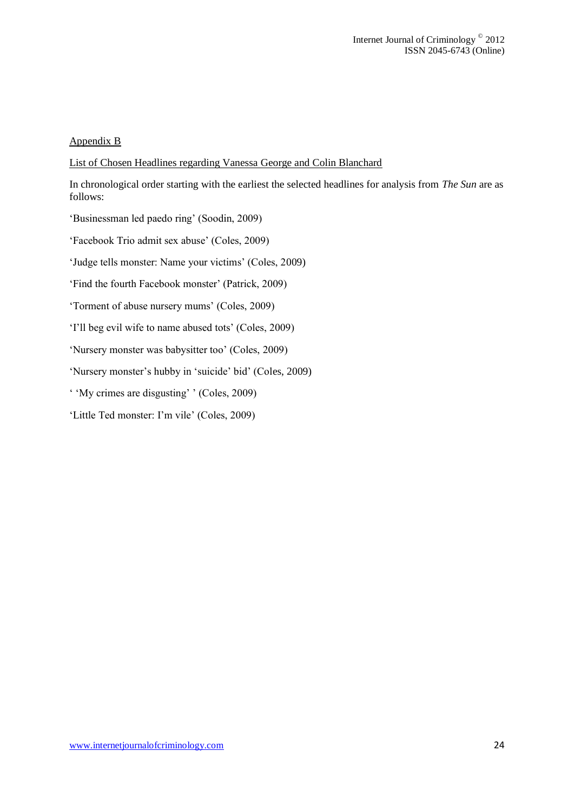#### Appendix B

List of Chosen Headlines regarding Vanessa George and Colin Blanchard

In chronological order starting with the earliest the selected headlines for analysis from *The Sun* are as follows:

'Businessman led paedo ring' (Soodin, 2009)

'Facebook Trio admit sex abuse' (Coles, 2009)

'Judge tells monster: Name your victims' (Coles, 2009)

'Find the fourth Facebook monster' (Patrick, 2009)

'Torment of abuse nursery mums' (Coles, 2009)

'I'll beg evil wife to name abused tots' (Coles, 2009)

'Nursery monster was babysitter too' (Coles, 2009)

'Nursery monster's hubby in 'suicide' bid' (Coles, 2009)

' 'My crimes are disgusting' ' (Coles, 2009)

'Little Ted monster: I'm vile' (Coles, 2009)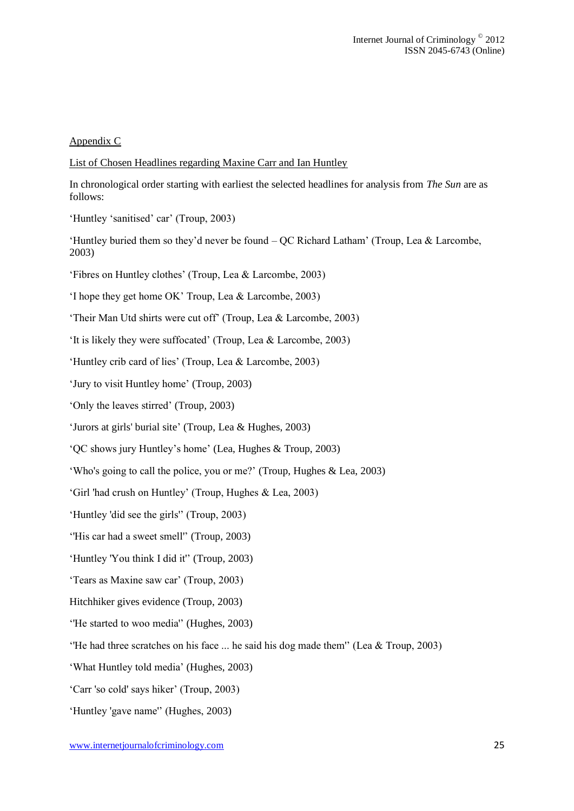#### Appendix C

#### List of Chosen Headlines regarding Maxine Carr and Ian Huntley

In chronological order starting with earliest the selected headlines for analysis from *The Sun* are as follows:

- 'Huntley 'sanitised' car' (Troup, 2003)
- 'Huntley buried them so they'd never be found QC Richard Latham' (Troup, Lea & Larcombe, 2003)

'Fibres on Huntley clothes' (Troup, Lea & Larcombe, 2003)

'I hope they get home OK' Troup, Lea & Larcombe, 2003)

'Their Man Utd shirts were cut off' (Troup, Lea & Larcombe, 2003)

'It is likely they were suffocated' (Troup, Lea & Larcombe, 2003)

'Huntley crib card of lies' (Troup, Lea & Larcombe, 2003)

'Jury to visit Huntley home' (Troup, 2003)

'Only the leaves stirred' (Troup, 2003)

['Jurors at girls' burial site'](http://www.thesun.co.uk/sol/homepage/news/155050/Jurors-at-girls-burial-site.html) (Troup, Lea & Hughes, 2003)

'QC shows jury Huntley's home' (Lea, Hughes & Troup, 2003)

'Who's going to call the police, you or me?' (Troup, Hughes & Lea, 2003)

'Girl 'had crush on Huntley' (Troup, Hughes & Lea, 2003)

'Huntley 'did see the girls'' (Troup, 2003)

''His car had a sweet smell'' (Troup, 2003)

'Huntley 'You think I did it'' (Troup, 2003)

'Tears as Maxine saw car' (Troup, 2003)

- [Hitchhiker gives evidence](http://www.thesun.co.uk/sol/homepage/news/154993/Hitchhiker-gives-evidence.html) (Troup, 2003)
- ''He started to woo media'' (Hughes, 2003)

''He had three scratches on his face ... he said his dog made them'' (Lea & Troup, 2003)

'What Huntley told media' (Hughes, 2003)

'Carr 'so cold' says hiker' (Troup, 2003)

'Huntley 'gave name'' (Hughes, 2003)